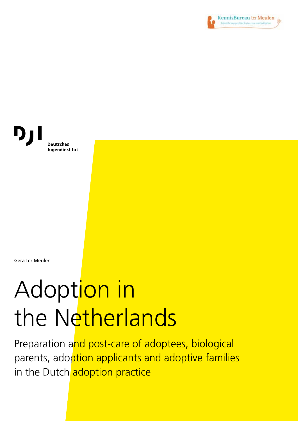

D) **Deutsches** Jugendinstitut

Gera ter Meulen

# Adoption in the Netherlands

Preparation and post-care of adoptees, biological parents, adoption applicants and adoptive families in the Dutch adoption practice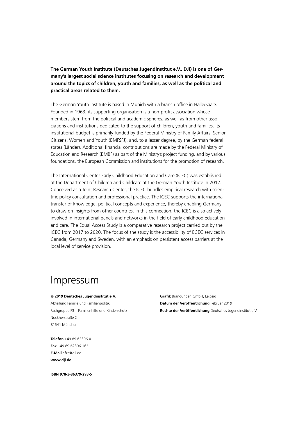**The German Youth Institute (Deutsches Jugendinstitut e.V., DJI) is one of Germany's largest social science institutes focusing on research and development around the topics of children, youth and families, as well as the political and practical areas related to them.** 

The German Youth Institute is based in Munich with a branch office in Halle/Saale. Founded in 1963, its supporting organisation is a non-profit association whose members stem from the political and academic spheres, as well as from other associations and institutions dedicated to the support of children, youth and families. Its institutional budget is primarily funded by the Federal Ministry of Family Affairs, Senior Citizens, Women and Youth (BMFSFJ), and, to a lesser degree, by the German federal states (Länder). Additional financial contributions are made by the Federal Ministry of Education and Research (BMBF) as part of the Ministry's project funding, and by various foundations, the European Commission and institutions for the promotion of research.

The International Center Early Childhood Education and Care (ICEC) was established at the Department of Children and Childcare at the German Youth Institute in 2012. Conceived as a Joint Research Center, the ICEC bundles empirical research with scientific policy consultation and professional practice. The ICEC supports the international transfer of knowledge, political concepts and experience, thereby enabling Germany to draw on insights from other countries. In this connection, the ICEC is also actively involved in international panels and networks in the field of early childhood education and care. The Equal Access Study is a comparative research project carried out by the ICEC from 2017 to 2020. The focus of the study is the accessibility of ECEC services in Canada, Germany and Sweden, with an emphasis on persistent access barriers at the local level of service provision.

### Impressum

#### **© 2019 Deutsches Jugendinstitut e.V.**

Abteilung Familie und Familienpolitik Fachgruppe F3 – Familienhilfe und Kinderschutz Nockherstraße 2 81541 München

**Grafik** Brandungen GmbH, Leipzig **Datum der Veröffentlichung** Februar 2019 **Rechte der Veröffentlichung** Deutsches Jugendinstitut e.V.

**Telefon** +49 89 62306-0 **Fax** +49 89 62306-162 **E-Mail** efza@dji.de **www.dji.de**

**ISBN 978-3-86379-298-5**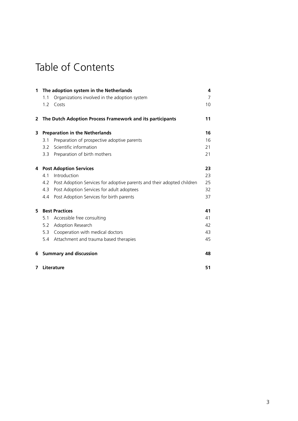### Table of Contents

| 1 |                               | The adoption system in the Netherlands                                 | 4              |
|---|-------------------------------|------------------------------------------------------------------------|----------------|
|   | 1.1                           | Organizations involved in the adoption system                          | $\overline{7}$ |
|   | 1.2                           | Costs                                                                  | 10             |
| 2 |                               | The Dutch Adoption Process Framework and its participants              | 11             |
| 3 |                               | <b>Preparation in the Netherlands</b>                                  | 16             |
|   | 3.1                           | Preparation of prospective adoptive parents                            | 16             |
|   | 3.2                           | Scientific information                                                 | 21             |
|   | 3.3                           | Preparation of birth mothers                                           | 21             |
| 4 | <b>Post Adoption Services</b> |                                                                        | 23             |
|   | 4.1                           | Introduction                                                           | 23             |
|   | 4.2                           | Post Adoption Services for adoptive parents and their adopted children | 25             |
|   | 4.3                           | Post Adoption Services for adult adoptees                              | 32             |
|   | 4.4                           | Post Adoption Services for birth parents                               | 37             |
| 5 | <b>Best Practices</b>         |                                                                        | 41             |
|   | 5.1                           | Accessible free consulting                                             | 41             |
|   | 5.2                           | Adoption Research                                                      | 42             |
|   | 5.3                           | Cooperation with medical doctors                                       | 43             |
|   | 5.4                           | Attachment and trauma based therapies                                  | 45             |
| 6 | <b>Summary and discussion</b> |                                                                        | 48             |
| 7 |                               | Literature                                                             | 51             |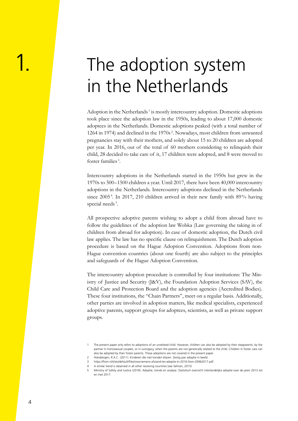## <span id="page-3-0"></span>The adoption system in the Netherlands

Adoption in the Netherlands<sup>1</sup> is mostly intercountry adoption. Domestic adoptions took place since the adoption law in the 1950s, leading to about 17,000 domestic adoptees in the Netherlands. Domestic adoptions peaked (with a total number of 1264 in 1974) and declined in the 1970s <sup>2</sup> . Nowadays, most children from unwanted pregnancies stay with their mothers, and solely about 15 to 20 children are adopted per year. In 2016, out of the total of 60 mothers considering to relinquish their child, 28 decided to take care of it, 17 children were adopted, and 8 were moved to foster families <sup>3</sup> .

Intercountry adoptions in the Netherlands started in the 1950s but grew in the 1970s to 500–1500 children a year. Until 2017, there have been 40,000 intercountry adoptions in the Netherlands. Intercountry adoptions declined in the Netherlands since 2005<sup>4</sup>. In 2017, 210 children arrived in their new family with 89% having special needs<sup>5</sup>.

All prospective adoptive parents wishing to adopt a child from abroad have to follow the guidelines of the adoption law Wobka (Law governing the taking in of children from abroad for adoption). In case of domestic adoption, the Dutch civil law applies. The law has no specific clause on relinquishment. The Dutch adoption procedure is based on the Hague Adoption Convention. Adoptions from non-Hague convention countries (about one fourth) are also subject to the principles and safeguards of the Hague Adoption Convention.

The intercountry adoption procedure is controlled by four institutions: The Ministry of Justice and Security (J&V), the Foundation Adoption Services (SAV), the Child Care and Protection Board and the adoption agencies (Accredited Bodies). These four institutions, the "Chain Partners", meet on a regular basis. Additionally, other parties are involved in adoption matters, like medical specialists, experienced adoptive parents, support groups for adoptees, scientists, as well as private support groups.

<sup>1</sup> The present paper only refers to adoptions of an unrelated child. However, children can also be adopted by their stepparents, by the partner in homosexual couples, or in surrogacy, when the parents are not genetically related to the child. Children in foster care can also be adopted by their foster parents. These adoptions are not covered in the present paper.

<sup>2</sup> Hoksbergen, R.A.C. (2011). Kinderen die niet konden blijven. Zestig jaar adoptie in beeld.

<sup>3</sup> https://fiom.nl/sites/default/files/voornemens-afstand-ter-adoptie-in-2016-fiom-20062017.pdf

<sup>4</sup> A similar trend is observed in all other receiving countries (see Selman, 2015)

<sup>5</sup> Ministry of Safety and Justice (2018). Adoptie, trends en analyse. Statistisch overzicht interlandelijke adoptie over de jaren 2013 tot en met 2017.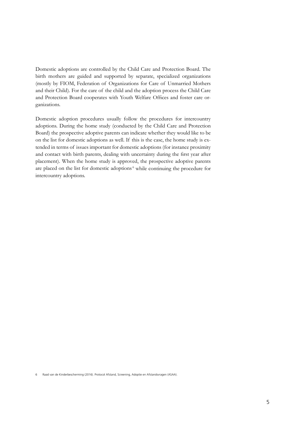Domestic adoptions are controlled by the Child Care and Protection Board. The birth mothers are guided and supported by separate, specialized organizations (mostly by FIOM, Federation of Organizations for Care of Unmarried Mothers and their Child). For the care of the child and the adoption process the Child Care and Protection Board cooperates with Youth Welfare Offices and foster care organizations.

Domestic adoption procedures usually follow the procedures for intercountry adoptions. During the home study (conducted by the Child Care and Protection Board) the prospective adoptive parents can indicate whether they would like to be on the list for domestic adoptions as well. If this is the case, the home study is extended in terms of issues important for domestic adoptions (for instance proximity and contact with birth parents, dealing with uncertainty during the first year after placement). When the home study is approved, the prospective adoptive parents are placed on the list for domestic adoptions<sup>6</sup> while continuing the procedure for intercountry adoptions.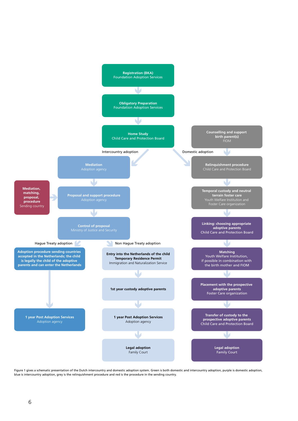

Figure 1 gives a schematic presentation of the Dutch intercountry and domestic adoption system. Green is both domestic and intercountry adoption, purple is domestic adoption, blue is intercountry adoption, grey is the relinquishment procedure and red is the procedure in the sending country.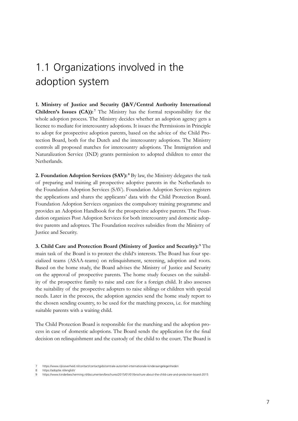### <span id="page-6-0"></span>1.1 Organizations involved in the adoption system

**1. Ministry of Justice and Security (J&V/Central Authority International Children's Issues (CA)):**<sup>7</sup> The Ministry has the formal responsibility for the whole adoption process. The Ministry decides whether an adoption agency gets a licence to mediate for intercountry adoptions. It issues the Permissions in Principle to adopt for prospective adoption parents, based on the advice of the Child Protection Board, both for the Dutch and the intercountry adoptions. The Ministry controls all proposed matches for intercountry adoptions. The Immigration and Naturalization Service (IND) grants permission to adopted children to enter the Netherlands.

2. Foundation Adoption Services (SAV):<sup>8</sup> By law, the Ministry delegates the task of preparing and training all prospective adoptive parents in the Netherlands to the Foundation Adoption Services (SAV). Foundation Adoption Services registers the applications and shares the applicants' data with the Child Protection Board. Foundation Adoption Services organizes the compulsory training programme and provides an Adoption Handbook for the prospective adoptive parents. The Foundation organizes Post Adoption Services for both intercountry and domestic adoptive parents and adoptees. The Foundation receives subsidies from the Ministry of Justice and Security.

**3. Child Care and Protection Board (Ministry of Justice and Security): <sup>9</sup> The** main task of the Board is to protect the child's interests. The Board has four specialized teams (ASAA-teams) on relinquishment, screening, adoption and roots. Based on the home study, the Board advises the Ministry of Justice and Security on the approval of prospective parents. The home study focuses on the suitability of the prospective family to raise and care for a foreign child. It also assesses the suitability of the prospective adopters to raise siblings or children with special needs. Later in the process, the adoption agencies send the home study report to the chosen sending country, to be used for the matching process, i.e. for matching suitable parents with a waiting child.

The Child Protection Board is responsible for the matching and the adoption process in case of domestic adoptions. The Board sends the application for the final decision on relinquishment and the custody of the child to the court. The Board is

<sup>7</sup> https://www.rijksoverheid.nl/contact/contactgids/centrale-autoriteit-internationale-kinderaangelegenheden

https://adoptie.nl/english/

<sup>9</sup> https://www.kinderbescherming.nl/documenten/brochures/2015/01/01/brochure-about-the-child-care-and-protection-board-2015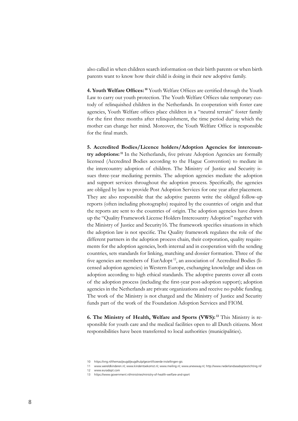also called in when children search information on their birth parents or when birth parents want to know how their child is doing in their new adoptive family.

**4. Youth Welfare Offices: <sup>10</sup>** Youth Welfare Offices are certified through the Youth Law to carry out youth protection. The Youth Welfare Offices take temporary custody of relinquished children in the Netherlands. In cooperation with foster care agencies, Youth Welfare offices place children in a "neutral terrain" foster family for the first three months after relinquishment, the time period during which the mother can change her mind. Moreover, the Youth Welfare Office is responsible for the final match.

**5. Accredited Bodies/Licence holders/Adoption Agencies for intercountry adoptions: <sup>11</sup>** In the Netherlands, five private Adoption Agencies are formally licensed (Accredited Bodies according to the Hague Convention) to mediate in the intercountry adoption of children. The Ministry of Justice and Security issues three-year mediating permits. The adoption agencies mediate the adoption and support services throughout the adoption process. Specifically, the agencies are obliged by law to provide Post Adoption Services for one year after placement. They are also responsible that the adoptive parents write the obliged follow-up reports (often including photographs) required by the countries of origin and that the reports are sent to the countries of origin. The adoption agencies have drawn up the "Quality Framework License Holders Intercountry Adoption" together with the Ministry of Justice and Security16. The framework specifies situations in which the adoption law is not specific. The Quality framework regulates the role of the different partners in the adoption process chain, their corporation, quality requirements for the adoption agencies, both internal and in cooperation with the sending countries, sets standards for linking, matching and dossier formation. Three of the five agencies are members of EurAdopt<sup>12</sup>, an association of Accredited Bodies (licensed adoption agencies) in Western Europe, exchanging knowledge and ideas on adoption according to high ethical standards. The adoptive parents cover all costs of the adoption process (including the first-year post-adoption support); adoption agencies in the Netherlands are private organizations and receive no public funding. The work of the Ministry is not charged and the Ministry of Justice and Security funds part of the work of the Foundation Adoption Services and FIOM.

**6. The Ministry of Health, Welfare and Sports (VWS): <sup>13</sup>** This Ministry is responsible for youth care and the medical facilities open to all Dutch citizens. Most responsibilities have been transferred to local authorities (municipalities).

<sup>10</sup> https://vng.nl/themas/jeugd/jeugdhulp/gecertificeerde-instellingen-gis

<sup>11</sup> www.wereldkinderen.nl; www.kindentoekomst.nl; www.meiling.nl; www.anewway.nl; http://www.nederlandseadoptiestichting.nl/ 12 www.euradopt.com

<sup>13</sup> https://www.government.nl/ministries/ministry-of-health-welfare-and-sport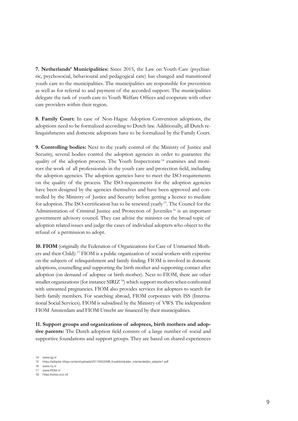**7. Netherlands' Municipalities:** Since 2015, the Law on Youth Care (psychiatric, psychosocial, behavioural and pedagogical care) has changed and transitioned youth care to the municipalities. The municipalities are responsible for prevention as well as for referral to and payment of the accorded support. The municipalities delegate the task of youth care to Youth Welfare Offices and cooperate with other care providers within their region.

**8. Family Court:** In case of Non-Hague Adoption Convention adoptions, the adoptions need to be formalized according to Dutch law. Additionally, all Dutch relinquishments and domestic adoptions have to be formalized by the Family Court.

**9. Controlling bodies:** Next to the yearly control of the Ministry of Justice and Security, several bodies control the adoption agencies in order to guarantee the quality of the adoption process. The Youth Inspectorate 14 examines and monitors the work of all professionals in the youth care and protection field, including the adoption agencies. The adoption agencies have to meet the ISO-requirements on the quality of the process. The ISO-requirements for the adoption agencies have been designed by the agencies themselves and have been approved and controlled by the Ministry of Justice and Security before getting a licence to mediate for adoption. The ISO-certification has to be renewed yearly 15. The Council for the Administration of Criminal Justice and Protection of Juveniles 16 is an important government advisory council. They can advise the minister on the broad topic of adoption related issues and judge the cases of individual adopters who object to the refusal of a permission to adopt.

**10. FIOM** (originally the Federation of Organizations for Care of Unmarried Mothers and their Child): 17 FIOM is a public organization of social workers with expertise on the subjects of relinquishment and family finding. FIOM is involved in domestic adoptions, counselling and supporting the birth mother and supporting contact after adoption (on demand of adoptee or birth mother). Next to FIOM, there are other smaller organizations (for instance  $SIRIZ^{18}$ ) which support mothers when confronted with unwanted pregnancies. FIOM also provides services for adoptees to search for birth family members. For searching abroad, FIOM corporates with ISS (International Social Services). FIOM is subsidised by the Ministry of VWS. The independent FIOM Amsterdam and FIOM Utrecht are financed by their municipalities.

**11. Support groups and organizations of adoptees, birth mothers and adoptive parents:** The Dutch adoption field consists of a large number of social and supportive foundations and support groups. They are based on shared experiences

18 https://www.siriz.nl/

<sup>14</sup> www.igj.nl

<sup>15</sup> https://adoptie.nl/wp-content/uploads/2017/03/2008\_Kwaliteitskader\_interlandelijke\_adoptie1.pdf

<sup>16</sup> www.rsj.nl

<sup>17</sup> www.FIOM.nl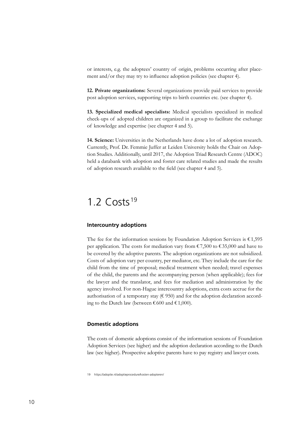<span id="page-9-0"></span>or interests, e.g. the adoptees' country of origin, problems occurring after placement and/or they may try to influence adoption policies (see chapter 4).

**12. Private organizations:** Several organizations provide paid services to provide post adoption services, supporting trips to birth countries etc. (see chapter 4).

**13. Specialized medical specialists:** Medical specialists specialized in medical check-ups of adopted children are organized in a group to facilitate the exchange of knowledge and expertise (see chapter 4 and 5).

**14. Science:** Universities in the Netherlands have done a lot of adoption research. Currently, Prof. Dr. Femmie Juffer at Leiden University holds the Chair on Adoption Studies. Additionally, until 2017, the Adoption Triad Research Centre (ADOC) held a databank with adoption and foster care related studies and made the results of adoption research available to the field (see chapter 4 and 5).

### 1.2  $Costs<sup>19</sup>$

#### **Intercountry adoptions**

The fee for the information sessions by Foundation Adoption Services is  $€1,595$ per application. The costs for mediation vary from  $\epsilon$  7,500 to  $\epsilon$  35,000 and have to be covered by the adoptive parents. The adoption organizations are not subsidized. Costs of adoption vary per country, per mediator, etc. They include the care for the child from the time of proposal; medical treatment when needed; travel expenses of the child, the parents and the accompanying person (when applicable); fees for the lawyer and the translator, and fees for mediation and administration by the agency involved. For non-Hague intercountry adoptions, extra costs accrue for the authorisation of a temporary stay ( $\epsilon$  950) and for the adoption declaration according to the Dutch law (between  $\text{\textsterling}600$  and  $\text{\textsterling}1,000$ ).

#### **Domestic adoptions**

The costs of domestic adoptions consist of the information sessions of Foundation Adoption Services (see higher) and the adoption declaration according to the Dutch law (see higher). Prospective adoptive parents have to pay registry and lawyer costs.

19 https://adoptie.nl/adoptieprocedure/kosten-adopteren/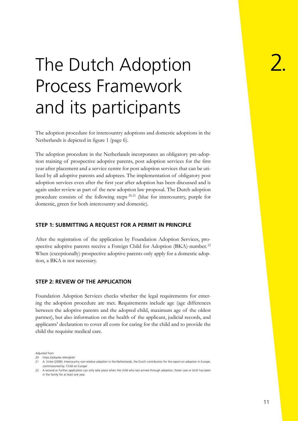## <span id="page-10-0"></span>The Dutch Adoption Process Framework and its participants

The adoption procedure for intercountry adoptions and domestic adoptions in the Netherlands is depicted in figure 1 (page 6).

The adoption procedure in the Netherlands incorporates an obligatory pre-adoption training of prospective adoptive parents, post adoption services for the first year after placement and a service centre for post adoption services that can be utilized by all adoptive parents and adoptees. The implementation of obligatory post adoption services even after the first year after adoption has been discussed and is again under review as part of the new adoption law proposal. The Dutch adoption procedure consists of the following steps  $20,21$  (blue for intercountry, purple for domestic, green for both intercountry and domestic).

#### **STEP 1: SUBMITTING A REQUEST FOR A PERMIT IN PRINCIPLE**

After the registration of the application by Foundation Adoption Services, prospective adoptive parents receive a Foreign Child for Adoption (BKA)-number.<sup>22</sup> When (exceptionally) prospective adoptive parents only apply for a domestic adoption, a BKA is not necessary.

#### **STEP 2: REVIEW OF THE APPLICATION**

Foundation Adoption Services checks whether the legal requirements for entering the adoption procedure are met. Requirements include age (age differences between the adoptive parents and the adopted child, maximum age of the oldest partner), but also information on the health of the applicant, judicial records, and applicants' declaration to cover all costs for caring for the child and to provide the child the requisite medical care.

Adjusted from

<sup>20</sup> https://adoptie.nl/english/

<sup>21</sup> A. Vinke (2008). Intercountry non-relative adoption in the Netherlands, the Dutch contribution for the report on adoption in Europe, commissioned by 'Child on Europe'.

<sup>22</sup> A second or further application can only take place when the child who last arrived through adoption, foster care or birth has been in the family for at least one year.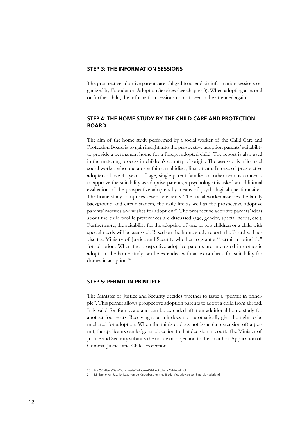#### **STEP 3: THE INFORMATION SESSIONS**

The prospective adoptive parents are obliged to attend six information sessions organized by Foundation Adoption Services (see chapter 3). When adopting a second or further child, the information sessions do not need to be attended again.

#### **STEP 4: THE HOME STUDY BY THE CHILD CARE AND PROTECTION BOARD**

The aim of the home study performed by a social worker of the Child Care and Protection Board is to gain insight into the prospective adoption parents' suitability to provide a permanent home for a foreign adopted child. The report is also used in the matching process in children's country of origin. The assessor is a licensed social worker who operates within a multidisciplinary team. In case of prospective adopters above 41 years of age, single-parent families or other serious concerns to approve the suitability as adoptive parents, a psychologist is asked an additional evaluation of the prospective adopters by means of psychological questionnaires. The home study comprises several elements. The social worker assesses the family background and circumstances, the daily life as well as the prospective adoptive parents' motives and wishes for adoption<sup>23</sup>. The prospective adoptive parents' ideas about the child profile preferences are discussed (age, gender, special needs, etc.). Furthermore, the suitability for the adoption of one or two children or a child with special needs will be assessed. Based on the home study report, the Board will advise the Ministry of Justice and Security whether to grant a "permit in principle" for adoption. When the prospective adoptive parents are interested in domestic adoption, the home study can be extended with an extra check for suitability for domestic adoption<sup>24</sup>.

#### **STEP 5: PERMIT IN PRINCIPLE**

The Minister of Justice and Security decides whether to issue a "permit in principle". This permit allows prospective adoption parents to adopt a child from abroad. It is valid for four years and can be extended after an additional home study for another four years. Receiving a permit does not automatically give the right to be mediated for adoption. When the minister does not issue (an extension of) a permit, the applicants can lodge an objection to that decision in court. The Minister of Justice and Security submits the notice of objection to the Board of Application of Criminal Justice and Child Protection.

<sup>23</sup> file:///C:/Users/Gera/Downloads/Protocol+ASAA+oktober+2016+def.pdf

<sup>24</sup> Ministerie van Justitie, Raad van de Kinderbescherming Breda. Adoptie van een kind uit Nederland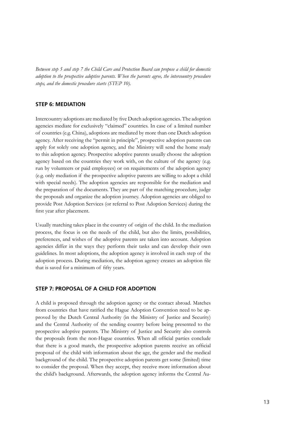*Between step 5 and step 7 the Child Care and Protection Board can propose a child for domestic adoption to the prospective adoptive parents. When the parents agree, the intercountry procedure stops, and the domestic procedure starts (STEP 10).*

#### **STEP 6: MEDIATION**

Intercountry adoptions are mediated by five Dutch adoption agencies. The adoption agencies mediate for exclusively "claimed" countries. In case of a limited number of countries (e.g. China), adoptions are mediated by more than one Dutch adoption agency. After receiving the "permit in principle", prospective adoption parents can apply for solely one adoption agency, and the Ministry will send the home study to this adoption agency. Prospective adoptive parents usually choose the adoption agency based on the countries they work with, on the culture of the agency (e.g. run by volunteers or paid employees) or on requirements of the adoption agency (e.g. only mediation if the prospective adoptive parents are willing to adopt a child with special needs). The adoption agencies are responsible for the mediation and the preparation of the documents. They are part of the matching procedure, judge the proposals and organize the adoption journey. Adoption agencies are obliged to provide Post Adoption Services (or referral to Post Adoption Services) during the first year after placement.

Usually matching takes place in the country of origin of the child. In the mediation process, the focus is on the needs of the child, but also the limits, possibilities, preferences, and wishes of the adoptive parents are taken into account. Adoption agencies differ in the ways they perform their tasks and can develop their own guidelines. In most adoptions, the adoption agency is involved in each step of the adoption process. During mediation, the adoption agency creates an adoption file that is saved for a minimum of fifty years.

#### **STEP 7: PROPOSAL OF A CHILD FOR ADOPTION**

A child is proposed through the adoption agency or the contact abroad. Matches from countries that have ratified the Hague Adoption Convention need to be approved by the Dutch Central Authority (in the Ministry of Justice and Security) and the Central Authority of the sending country before being presented to the prospective adoptive parents. The Ministry of Justice and Security also controls the proposals from the non-Hague countries. When all official parties conclude that there is a good match, the prospective adoption parents receive an official proposal of the child with information about the age, the gender and the medical background of the child. The prospective adoption parents get some (limited) time to consider the proposal. When they accept, they receive more information about the child's background. Afterwards, the adoption agency informs the Central Au-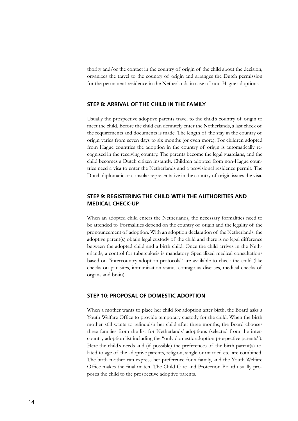thority and/or the contact in the country of origin of the child about the decision, organizes the travel to the country of origin and arranges the Dutch permission for the permanent residence in the Netherlands in case of non-Hague adoptions.

#### **STEP 8: ARRIVAL OF THE CHILD IN THE FAMILY**

Usually the prospective adoptive parents travel to the child's country of origin to meet the child. Before the child can definitely enter the Netherlands, a last check of the requirements and documents is made. The length of the stay in the country of origin varies from seven days to six months (or even more). For children adopted from Hague countries the adoption in the country of origin is automatically recognised in the receiving country. The parents become the legal guardians, and the child becomes a Dutch citizen instantly. Children adopted from non-Hague countries need a visa to enter the Netherlands and a provisional residence permit. The Dutch diplomatic or consular representative in the country of origin issues the visa.

#### **STEP 9: REGISTERING THE CHILD WITH THE AUTHORITIES AND MEDICAL CHECK-UP**

When an adopted child enters the Netherlands, the necessary formalities need to be attended to. Formalities depend on the country of origin and the legality of the pronouncement of adoption. With an adoption declaration of the Netherlands, the adoptive parent(s) obtain legal custody of the child and there is no legal difference between the adopted child and a birth child. Once the child arrives in the Netherlands, a control for tuberculosis is mandatory. Specialized medical consultations based on "intercountry adoption protocols" are available to check the child (like checks on parasites, immunization status, contagious diseases, medical checks of organs and brain).

#### **STEP 10: PROPOSAL OF DOMESTIC ADOPTION**

When a mother wants to place her child for adoption after birth, the Board asks a Youth Welfare Office to provide temporary custody for the child. When the birth mother still wants to relinquish her child after three months, the Board chooses three families from the list for Netherlands' adoptions (selected from the intercountry adoption list including the "only domestic adoption prospective parents"). Here the child's needs and (if possible) the preferences of the birth parent(s) related to age of the adoptive parents, religion, single or married etc. are combined. The birth mother can express her preference for a family, and the Youth Welfare Office makes the final match. The Child Care and Protection Board usually proposes the child to the prospective adoptive parents.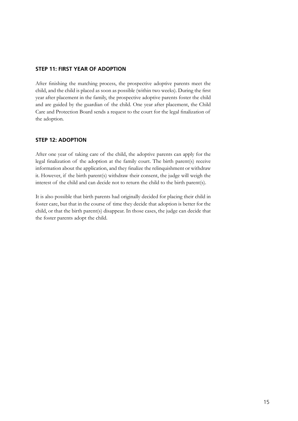#### **STEP 11: FIRST YEAR OF ADOPTION**

After finishing the matching process, the prospective adoptive parents meet the child, and the child is placed as soon as possible (within two weeks). During the first year after placement in the family, the prospective adoptive parents foster the child and are guided by the guardian of the child. One year after placement, the Child Care and Protection Board sends a request to the court for the legal finalization of the adoption.

#### **STEP 12: ADOPTION**

After one year of taking care of the child, the adoptive parents can apply for the legal finalization of the adoption at the family court. The birth parent(s) receive information about the application, and they finalize the relinquishment or withdraw it. However, if the birth parent(s) withdraw their consent, the judge will weigh the interest of the child and can decide not to return the child to the birth parent(s).

It is also possible that birth parents had originally decided for placing their child in foster care, but that in the course of time they decide that adoption is better for the child, or that the birth parent(s) disappear. In those cases, the judge can decide that the foster parents adopt the child.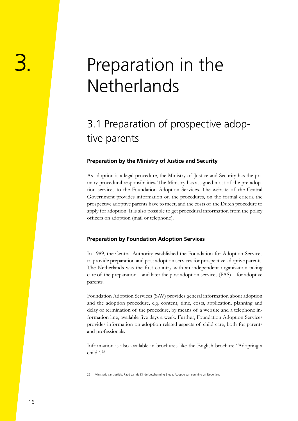## <span id="page-15-0"></span>3. Preparation in the Netherlands

### 3.1 Preparation of prospective adoptive parents

#### **Preparation by the Ministry of Justice and Security**

As adoption is a legal procedure, the Ministry of Justice and Security has the primary procedural responsibilities. The Ministry has assigned most of the pre-adoption services to the Foundation Adoption Services. The website of the Central Government provides information on the procedures, on the formal criteria the prospective adoptive parents have to meet, and the costs of the Dutch procedure to apply for adoption. It is also possible to get procedural information from the policy officers on adoption (mail or telephone).

#### **Preparation by Foundation Adoption Services**

In 1989, the Central Authority established the Foundation for Adoption Services to provide preparation and post adoption services for prospective adoptive parents. The Netherlands was the first country with an independent organization taking care of the preparation – and later the post adoption services (PAS) – for adoptive parents.

Foundation Adoption Services (SAV) provides general information about adoption and the adoption procedure, e.g. content, time, costs, application, planning and delay or termination of the procedure, by means of a website and a telephone information line, available five days a week. Further, Foundation Adoption Services provides information on adoption related aspects of child care, both for parents and professionals.

Information is also available in brochures like the English brochure "Adopting a child". <sup>25</sup>

25 Ministerie van Justitie, Raad van de Kinderbescherming Breda. Adoptie van een kind uit Nederland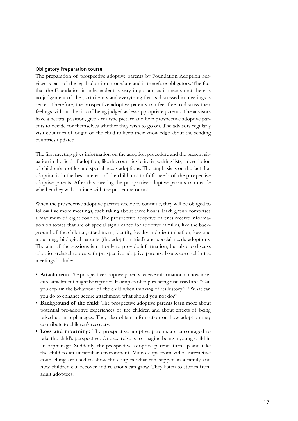#### Obligatory Preparation course

The preparation of prospective adoptive parents by Foundation Adoption Services is part of the legal adoption procedure and is therefore obligatory. The fact that the Foundation is independent is very important as it means that there is no judgement of the participants and everything that is discussed in meetings is secret. Therefore, the prospective adoptive parents can feel free to discuss their feelings without the risk of being judged as less appropriate parents. The advisors have a neutral position, give a realistic picture and help prospective adoptive parents to decide for themselves whether they wish to go on. The advisors regularly visit countries of origin of the child to keep their knowledge about the sending countries updated.

The first meeting gives information on the adoption procedure and the present situation in the field of adoption, like the countries' criteria, waiting lists, a description of children's profiles and special needs adoptions. The emphasis is on the fact that adoption is in the best interest of the child, not to fulfil needs of the prospective adoptive parents. After this meeting the prospective adoptive parents can decide whether they will continue with the procedure or not.

When the prospective adoptive parents decide to continue, they will be obliged to follow five more meetings, each taking about three hours. Each group comprises a maximum of eight couples. The prospective adoptive parents receive information on topics that are of special significance for adoptive families, like the background of the children, attachment, identity, loyalty and discrimination, loss and mourning, biological parents (the adoption triad) and special needs adoptions. The aim of the sessions is not only to provide information, but also to discuss adoption-related topics with prospective adoptive parents. Issues covered in the meetings include:

- **Attachment:** The prospective adoptive parents receive information on how insecure attachment might be repaired. Examples of topics being discussed are: "Can you explain the behaviour of the child when thinking of its history?" "What can you do to enhance secure attachment, what should you not do?"
- **Background of the child:** The prospective adoptive parents learn more about potential pre-adoptive experiences of the children and about effects of being raised up in orphanages. They also obtain information on how adoption may contribute to children's recovery.
- **Loss and mourning:** The prospective adoptive parents are encouraged to take the child's perspective. One exercise is to imagine being a young child in an orphanage. Suddenly, the prospective adoptive parents turn up and take the child to an unfamiliar environment. Video clips from video interactive counselling are used to show the couples what can happen in a family and how children can recover and relations can grow. They listen to stories from adult adoptees.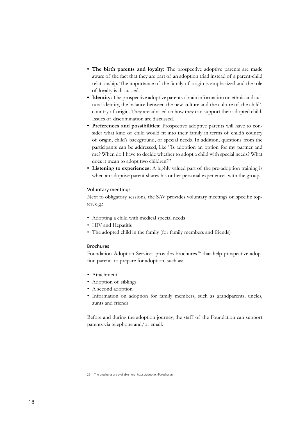- **The birth parents and loyalty:** The prospective adoptive parents are made aware of the fact that they are part of an adoption triad instead of a parent-child relationship. The importance of the family of origin is emphasized and the role of loyalty is discussed.
- **Identity:** The prospective adoptive parents obtain information on ethnic and cultural identity, the balance between the new culture and the culture of the child's country of origin. They are advised on how they can support their adopted child. Issues of discrimination are discussed.
- **Preferences and possibilities:** Prospective adoptive parents will have to consider what kind of child would fit into their family in terms of child's country of origin, child's background, or special needs. In addition, questions from the participants can be addressed, like "Is adoption an option for my partner and me? When do I have to decide whether to adopt a child with special needs? What does it mean to adopt two children?"
- **Listening to experiences:** A highly valued part of the pre-adoption training is when an adoptive parent shares his or her personal experiences with the group.

#### Voluntary meetings

Next to obligatory sessions, the SAV provides voluntary meetings on specific topics, e.g.:

- Adopting a child with medical special needs
- HIV and Hepatitis
- The adopted child in the family (for family members and friends)

#### Brochures

Foundation Adoption Services provides brochures<sup>26</sup> that help prospective adoption parents to prepare for adoption, such as:

- Attachment
- Adoption of siblings
- A second adoption
- Information on adoption for family members, such as grandparents, uncles, aunts and friends

Before and during the adoption journey, the staff of the Foundation can support parents via telephone and/or email.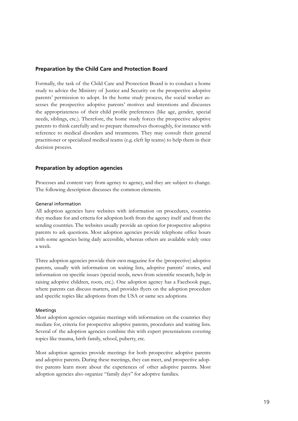#### **Preparation by the Child Care and Protection Board**

Formally, the task of the Child Care and Protection Board is to conduct a home study to advice the Ministry of Justice and Security on the prospective adoptive parents' permission to adopt. In the home study process, the social worker assesses the prospective adoptive parents' motives and intentions and discusses the appropriateness of their child profile preferences (like age, gender, special needs, siblings, etc.). Therefore, the home study forces the prospective adoptive parents to think carefully and to prepare themselves thoroughly, for instance with reference to medical disorders and treatments. They may consult their general practitioner or specialized medical teams (e.g. cleft lip teams) to help them in their decision process.

#### **Preparation by adoption agencies**

Processes and content vary from agency to agency, and they are subject to change. The following description discusses the common elements.

#### General information

All adoption agencies have websites with information on procedures, countries they mediate for and criteria for adoption both from the agency itself and from the sending countries. The websites usually provide an option for prospective adoptive parents to ask questions. Most adoption agencies provide telephone office hours with some agencies being daily accessible, whereas others are available solely once a week.

Three adoption agencies provide their own magazine for the (prospective) adoptive parents, usually with information on waiting lists, adoptive parents' stories, and information on specific issues (special needs, news from scientific research, help in raising adoptive children, roots, etc.). One adoption agency has a Facebook page, where parents can discuss matters, and provides flyers on the adoption procedure and specific topics like adoptions from the USA or same sex adoptions.

#### **Meetings**

Most adoption agencies organize meetings with information on the countries they mediate for, criteria for prospective adoptive parents, procedures and waiting lists. Several of the adoption agencies combine this with expert presentations covering topics like trauma, birth family, school, puberty, etc.

Most adoption agencies provide meetings for both prospective adoptive parents and adoptive parents. During these meetings, they can meet, and prospective adoptive parents learn more about the experiences of other adoptive parents. Most adoption agencies also organize "family days" for adoptive families.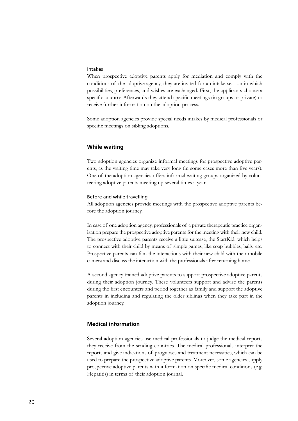#### Intakes

When prospective adoptive parents apply for mediation and comply with the conditions of the adoptive agency, they are invited for an intake session in which possibilities, preferences, and wishes are exchanged. First, the applicants choose a specific country. Afterwards they attend specific meetings (in groups or private) to receive further information on the adoption process.

Some adoption agencies provide special needs intakes by medical professionals or specific meetings on sibling adoptions.

#### **While waiting**

Two adoption agencies organize informal meetings for prospective adoptive parents, as the waiting time may take very long (in some cases more than five years). One of the adoption agencies offers informal waiting groups organized by volunteering adoptive parents meeting up several times a year.

#### Before and while travelling

All adoption agencies provide meetings with the prospective adoptive parents before the adoption journey.

In case of one adoption agency, professionals of a private therapeutic practice organization prepare the prospective adoptive parents for the meeting with their new child. The prospective adoptive parents receive a little suitcase, the StartKid, which helps to connect with their child by means of simple games, like soap bubbles, balls, etc. Prospective parents can film the interactions with their new child with their mobile camera and discuss the interaction with the professionals after returning home.

A second agency trained adoptive parents to support prospective adoptive parents during their adoption journey. These volunteers support and advise the parents during the first encounters and period together as family and support the adoptive parents in including and regulating the older siblings when they take part in the adoption journey.

#### **Medical information**

Several adoption agencies use medical professionals to judge the medical reports they receive from the sending countries. The medical professionals interpret the reports and give indications of prognoses and treatment necessities, which can be used to prepare the prospective adoptive parents. Moreover, some agencies supply prospective adoptive parents with information on specific medical conditions (e.g. Hepatitis) in terms of their adoption journal.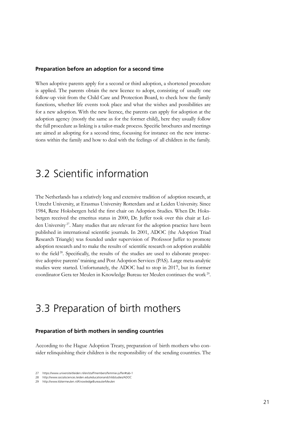#### <span id="page-20-0"></span>**Preparation before an adoption for a second time**

When adoptive parents apply for a second or third adoption, a shortened procedure is applied. The parents obtain the new licence to adopt, consisting of usually one follow-up visit from the Child Care and Protection Board, to check how the family functions, whether life events took place and what the wishes and possibilities are for a new adoption. With the new licence, the parents can apply for adoption at the adoption agency (mostly the same as for the former child), here they usually follow the full procedure as linking is a tailor-made process. Specific brochures and meetings are aimed at adopting for a second time, focussing for instance on the new interactions within the family and how to deal with the feelings of all children in the family.

### 3.2 Scientific information

The Netherlands has a relatively long and extensive tradition of adoption research, at Utrecht University, at Erasmus University Rotterdam and at Leiden University. Since 1984, Rene Hoksbergen held the first chair on Adoption Studies. When Dr. Hoksbergen received the emeritus status in 2000, Dr. Juffer took over this chair at Leiden University<sup>27</sup>. Many studies that are relevant for the adoption practice have been published in international scientific journals. In 2001, ADOC (the Adoption Triad Research Triangle) was founded under supervision of Professor Juffer to promote adoption research and to make the results of scientific research on adoption available to the field<sup>28</sup>. Specifically, the results of the studies are used to elaborate prospective adoptive parents' training and Post Adoption Services (PAS). Large meta-analytic studies were started. Unfortunately, the ADOC had to stop in 2017, but its former coordinator Gera ter Meulen in Knowledge Bureau ter Meulen continues the work 29.

### 3.3 Preparation of birth mothers

#### **Preparation of birth mothers in sending countries**

According to the Hague Adoption Treaty, preparation of birth mothers who consider relinquishing their children is the responsibility of the sending countries. The

<sup>27</sup> https://www.universiteitleiden.nl/en/staffmembers/femmie-juffer#tab-1

<sup>28</sup> http://www.socialsciences.leiden.edu/educationandchildstudies/ADOC

<sup>29</sup> http://www.kbtermeulen.nl/KnowledgeBureauterMeulen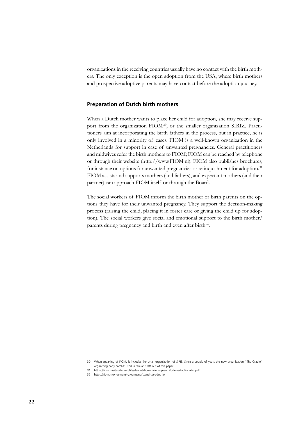organizations in the receiving countries usually have no contact with the birth mothers. The only exception is the open adoption from the USA, where birth mothers and prospective adoptive parents may have contact before the adoption journey.

#### **Preparation of Dutch birth mothers**

When a Dutch mother wants to place her child for adoption, she may receive support from the organization FIOM<sup>30</sup>, or the smaller organization SIRIZ. Practitioners aim at incorporating the birth fathers in the process, but in practice, he is only involved in a minority of cases. FIOM is a well-known organization in the Netherlands for support in case of unwanted pregnancies. General practitioners and midwives refer the birth mothers to FIOM; FIOM can be reached by telephone or through their website (http://www.FIOM.nl). FIOM also publishes brochures, for instance on options for unwanted pregnancies or relinquishment for adoption.<sup>31</sup> FIOM assists and supports mothers (and fathers), and expectant mothers (and their partner) can approach FIOM itself or through the Board.

The social workers of FIOM inform the birth mother or birth parents on the options they have for their unwanted pregnancy. They support the decision-making process (raising the child, placing it in foster care or giving the child up for adoption). The social workers give social and emotional support to the birth mother/ parents during pregnancy and birth and even after birth<sup>32</sup>.

32 https://fiom.nl/ongewenst-zwanger/afstand-ter-adoptie

<sup>30</sup> When speaking of FIOM, it includes the small organization of SIRIZ. Since a couple of years the new organization "The Cradle" organizing baby hatches. This is rare and left out of this paper.

<sup>31</sup> https://fiom.nl/sites/default/files/leaflet-fiom-giving-up-a-child-for-adoption-def.pdf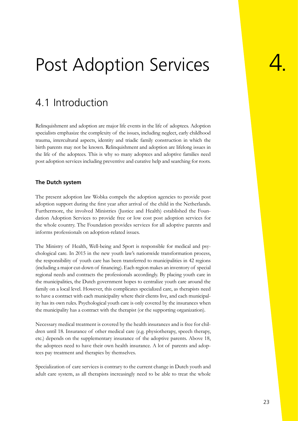## <span id="page-22-0"></span>Post Adoption Services

### 4.1 Introduction

Relinquishment and adoption are major life events in the life of adoptees. Adoption specialists emphasize the complexity of the issues, including neglect, early childhood trauma, intercultural aspects, identity and triadic family construction in which the birth parents may not be known. Relinquishment and adoption are lifelong issues in the life of the adoptees. This is why so many adoptees and adoptive families need post adoption services including preventive and curative help and searching for roots.

#### **The Dutch system**

The present adoption law Wobka compels the adoption agencies to provide post adoption support during the first year after arrival of the child in the Netherlands. Furthermore, the involved Ministries (Justice and Health) established the Foundation Adoption Services to provide free or low cost post adoption services for the whole country. The Foundation provides services for all adoptive parents and informs professionals on adoption-related issues.

The Ministry of Health, Well-being and Sport is responsible for medical and psychological care. In 2015 in the new youth law's nationwide transformation process, the responsibility of youth care has been transferred to municipalities in 42 regions (including a major cut-down of financing). Each region makes an inventory of special regional needs and contracts the professionals accordingly. By placing youth care in the municipalities, the Dutch government hopes to centralize youth care around the family on a local level. However, this complicates specialized care, as therapists need to have a contract with each municipality where their clients live, and each municipality has its own rules. Psychological youth care is only covered by the insurances when the municipality has a contract with the therapist (or the supporting organization).

Necessary medical treatment is covered by the health insurances and is free for children until 18. Insurance of other medical care (e.g. physiotherapy, speech therapy, etc.) depends on the supplementary insurance of the adoptive parents. Above 18, the adoptees need to have their own health insurance. A lot of parents and adoptees pay treatment and therapies by themselves.

Specialization of care services is contrary to the current change in Dutch youth and adult care system, as all therapists increasingly need to be able to treat the whole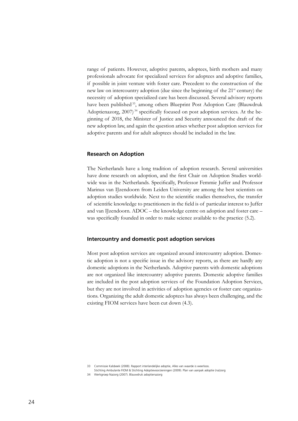range of patients. However, adoptive parents, adoptees, birth mothers and many professionals advocate for specialized services for adoptees and adoptive families, if possible in joint venture with foster care. Precedent to the construction of the new law on intercountry adoption (due since the beginning of the 21st century) the necessity of adoption specialized care has been discussed. Several advisory reports have been published<sup>33</sup>, among others Blueprint Post Adoption Care (Blauwdruk Adoptienazorg,  $2007$ <sup>34</sup> specifically focused on post adoption services. At the beginning of 2018, the Minister of Justice and Security announced the draft of the new adoption law, and again the question arises whether post adoption services for adoptive parents and for adult adoptees should be included in the law.

#### **Research on Adoption**

The Netherlands have a long tradition of adoption research. Several universities have done research on adoption, and the first Chair on Adoption Studies worldwide was in the Netherlands. Specifically, Professor Femmie Juffer and Professor Marinus van IJzendoorn from Leiden University are among the best scientists on adoption studies worldwide. Next to the scientific studies themselves, the transfer of scientific knowledge to practitioners in the field is of particular interest to Juffer and van IJzendoorn. ADOC – the knowledge centre on adoption and foster care – was specifically founded in order to make science available to the practice (5.2).

#### **Intercountry and domestic post adoption services**

Most post adoption services are organized around intercountry adoption. Domestic adoption is not a specific issue in the advisory reports, as there are hardly any domestic adoptions in the Netherlands. Adoptive parents with domestic adoptions are not organized like intercountry adoptive parents. Domestic adoptive families are included in the post adoption services of the Foundation Adoption Services, but they are not involved in activities of adoption agencies or foster care organizations. Organizing the adult domestic adoptees has always been challenging, and the existing FIOM services have been cut down (4.3).

33 Commissie Kalsbeek (2008). Rapport interlandelijke adoptie, Alles van waarde is weerloos.

Stichting Ambulante FIOM & Stichting Adoptievoorzieningen (2009). Plan van aanpak adoptie (na)zorg 34 Werkgroep Nazorg (2007). Blauwdruk adoptienazorg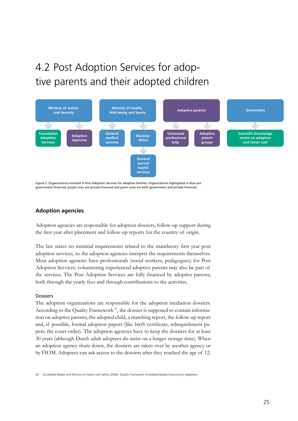### <span id="page-24-0"></span>4.2 Post Adoption Services for adoptive parents and their adopted children



Figure 2. Organizations involved in Post Adoption Services for adoptive families. Organizations highlighted in blue are government-financed, purple ones are private-financed and green ones are both government and private financed.

#### **Adoption agencies**

Adoption agencies are responsible for adoption dossiers, follow-up support during the first year after placement and follow-up reports for the country of origin.

The law states no minimal requirements related to the mandatory first year post adoption services, so the adoption agencies interpret the requirements themselves. Most adoption agencies have professionals (social workers, pedagogues) for Post Adoption Services; volunteering experienced adoptive parents may also be part of the services. The Post Adoption Services are fully financed by adoptive parents, both through the yearly fees and through contributions to the activities.

#### Dossiers

The adoption organizations are responsible for the adoption mediation dossiers. According to the Quality Framework<sup>35</sup>, the dossier is supposed to contain information on adoptive parents, the adopted child, a matching report, the follow-up report and, if possible, formal adoption papers (like birth certificate, relinquishment papers, the court order). The adoption agencies have to keep the dossiers for at least 30 years (although Dutch adult adoptees do insist on a longer storage time). When an adoption agency shuts down, the dossiers are taken over by another agency or by FIOM. Adoptees can ask access to the dossiers after they reached the age of 12.

35 Accredited Bodies and Ministry of Justice and Safety (2008). Quality Framework Accredited Bodies Intercountry adoptions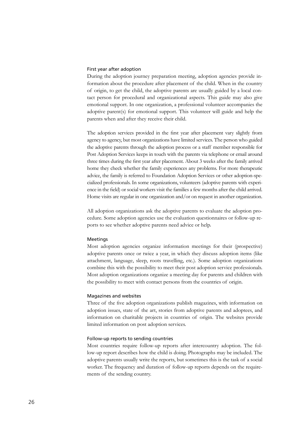#### First year after adoption

During the adoption journey preparation meeting, adoption agencies provide information about the procedure after placement of the child. When in the country of origin, to get the child, the adoptive parents are usually guided by a local contact person for procedural and organizational aspects. This guide may also give emotional support. In one organization, a professional volunteer accompanies the adoptive parent(s) for emotional support. This volunteer will guide and help the parents when and after they receive their child.

The adoption services provided in the first year after placement vary slightly from agency to agency, but most organizations have limited services. The person who guided the adoptive parents through the adoption process or a staff member responsible for Post Adoption Services keeps in touch with the parents via telephone or email around three times during the first year after placement. About 3 weeks after the family arrived home they check whether the family experiences any problems. For more therapeutic advice, the family is referred to Foundation Adoption Services or other adoption-specialized professionals. In some organizations, volunteers (adoptive parents with experience in the field) or social workers visit the families a few months after the child arrived. Home visits are regular in one organization and/or on request in another organization.

All adoption organizations ask the adoptive parents to evaluate the adoption procedure. Some adoption agencies use the evaluation questionnaires or follow-up reports to see whether adoptive parents need advice or help.

#### Meetings

Most adoption agencies organize information meetings for their (prospective) adoptive parents once or twice a year, in which they discuss adoption items (like attachment, language, sleep, roots travelling, etc.). Some adoption organizations combine this with the possibility to meet their post adoption service professionals. Most adoption organizations organize a meeting day for parents and children with the possibility to meet with contact persons from the countries of origin.

#### Magazines and websites

Three of the five adoption organizations publish magazines, with information on adoption issues, state of the art, stories from adoptive parents and adoptees, and information on charitable projects in countries of origin. The websites provide limited information on post adoption services.

#### Follow-up reports to sending countries

Most countries require follow-up reports after intercountry adoption. The follow-up report describes how the child is doing. Photographs may be included. The adoptive parents usually write the reports, but sometimes this is the task of a social worker. The frequency and duration of follow-up reports depends on the requirements of the sending country.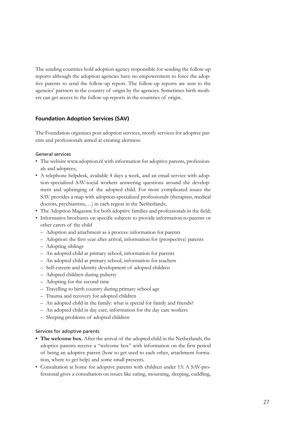The sending countries hold adoption agency responsible for sending the follow-up reports although the adoption agencies have no empowerment to force the adoptive parents to send the follow-up report. The follow-up reports are sent to the agencies' partners in the country of origin by the agencies. Sometimes birth mothers can get access to the follow-up reports in the countries of origin.

#### **Foundation Adoption Services (SAV)**

The Foundation organizes post adoption services, mostly services for adoptive parents and professionals aimed at creating alertness.

#### General services

- The website www.adoption.nl with information for adoptive parents, professionals and adoptees;
- A telephone helpdesk, available 4 days a week, and an email service with adoption-specialized SAV-social workers answering questions around the development and upbringing of the adopted child. For more complicated issues the SAV provides a map with adoption-specialized professionals (therapists, medical doctors, psychiatrists,…) in each region in the Netherlands;
- The Adoption Magazine for both adoptive families and professionals in the field;
- Informative brochures on specific subjects to provide information to parents or other carers of the child
	- –– Adoption and attachment as a process: information for parents
	- –– Adoption: the first year after arrival, information for (prospective) parents
	- –– Adopting siblings
	- –– An adopted child at primary school, information for parents
	- –– An adopted child at primary school, information for teachers
	- –– Self-esteem and identity development of adopted children
	- –– Adopted children during puberty
	- –– Adopting for the second time
	- –– Travelling to birth country during primary school age
	- –– Trauma and recovery for adopted children
	- –– An adopted child in the family: what is special for family and friends?
	- –– An adopted child in day care, information for the day care workers
	- –– Sleeping problems of adopted children

#### Services for adoptive parents

- **The welcome box.** After the arrival of the adopted child in the Netherlands, the adoptive parents receive a "welcome box" with information on the first period of being an adoptive parent (how to get used to each other, attachment formation, where to get help) and some small presents.
- Consultation at home for adoptive parents with children under 13: A SAV-professional gives a consultation on issues like eating, mourning, sleeping, cuddling,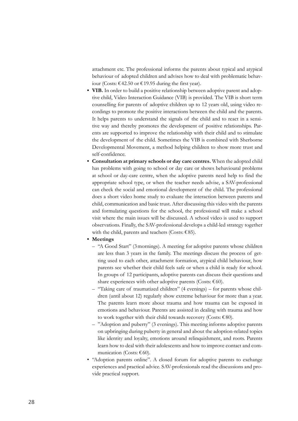attachment etc. The professional informs the parents about typical and atypical behaviour of adopted children and advises how to deal with problematic behaviour (Costs: €42.50 or €19.95 during the first year).

- **VIB.** In order to build a positive relationship between adoptive parent and adoptive child, Video Interaction Guidance (VIB) is provided. The VIB is short term counselling for parents of adoptive children up to 12 years old, using video recordings to promote the positive interactions between the child and the parents. It helps parents to understand the signals of the child and to react in a sensitive way and thereby promotes the development of positive relationships. Parents are supported to improve the relationship with their child and to stimulate the development of the child. Sometimes the VIB is combined with Sherborne Developmental Movement, a method helping children to show more trust and self-confidence.
- **Consultation at primary schools or day care centres.** When the adopted child has problems with going to school or day care or shows behavioural problems at school or day-care centre, when the adoptive parents need help to find the appropriate school type, or when the teacher needs advise, a SAV-professional can check the social and emotional development of the child. The professional does a short video home study to evaluate the interaction between parents and child, communication and basic trust. After discussing this video with the parents and formulating questions for the school, the professional will make a school visit where the main issues will be discussed. A school video is used to support observations. Finally, the SAV-professional develops a child-led strategy together with the child, parents and teachers (Costs:  $€85$ ).
- **Meetings**
	- –– "A Good Start" (3mornings). A meeting for adoptive parents whose children are less than 3 years in the family. The meetings discuss the process of getting used to each other, attachment formation, atypical child behaviour, how parents see whether their child feels safe or when a child is ready for school. In groups of 12 participants, adoptive parents can discuss their questions and share experiences with other adoptive parents (Costs:  $€60$ ).
	- –– "Taking care of traumatized children" (4 evenings) for parents whose children (until about 12) regularly show extreme behaviour for more than a year. The parents learn more about trauma and how trauma can be exposed in emotions and behaviour. Parents are assisted in dealing with trauma and how to work together with their child towards recovery (Costs:  $€80$ ).
	- –– "Adoption and puberty" (3 evenings). This meeting informs adoptive parents on upbringing during puberty in general and about the adoption-related topics like identity and loyalty, emotions around relinquishment, and roots. Parents learn how to deal with their adolescents and how to improve contact and communication (Costs:  $€60$ ).
- "Adoption parents online". A closed forum for adoptive parents to exchange experiences and practical advice. SAV-professionals read the discussions and provide practical support.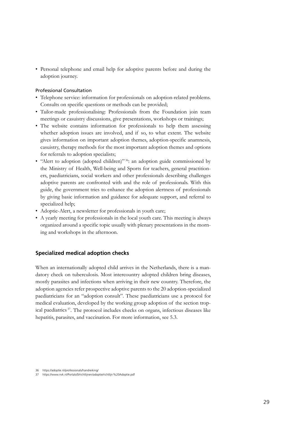• Personal telephone and email help for adoptive parents before and during the adoption journey.

#### Professional Consultation

- Telephone service: information for professionals on adoption-related problems. Consults on specific questions or methods can be provided;
- Tailor-made professionalising: Professionals from the Foundation join team meetings or casuistry discussions, give presentations, workshops or trainings;
- The website contains information for professionals to help them assessing whether adoption issues are involved, and if so, to what extent. The website gives information on important adoption themes, adoption-specific anamnesis, casuistry, therapy methods for the most important adoption themes and options for referrals to adoption specialists;
- "Alert to adoption (adopted children)" 36: an adoption guide commissioned by the Ministry of Health, Well-being and Sports for teachers, general practitioners, paediatricians, social workers and other professionals describing challenges adoptive parents are confronted with and the role of professionals. With this guide, the government tries to enhance the adoption alertness of professionals by giving basic information and guidance for adequate support, and referral to specialized help;
- Adoptie-Alert, a newsletter for professionals in youth care;
- A yearly meeting for professionals in the local youth care. This meeting is always organized around a specific topic usually with plenary presentations in the morning and workshops in the afternoon.

#### **Specialized medical adoption checks**

When an internationally adopted child arrives in the Netherlands, there is a mandatory check on tuberculosis. Most intercountry adopted children bring diseases, mostly parasites and infections when arriving in their new country. Therefore, the adoption agencies refer prospective adoptive parents to the 20 adoption-specialized paediatricians for an "adoption consult". These paediatricians use a protocol for medical evaluation, developed by the working group adoption of the section tropical paediatrics 37. The protocol includes checks on organs, infectious diseases like hepatitis, parasites, and vaccination. For more information, see 5.3.

<sup>36</sup> https://adoptie.nl/professionals/handreiking/

<sup>37</sup> https://www.nvk.nl/Portals/0/richtlijnen/adoptie/richtlijn%20Adoptie.pdf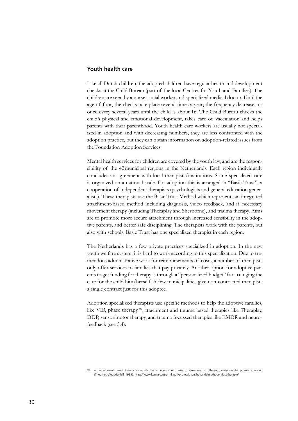#### **Youth health care**

Like all Dutch children, the adopted children have regular health and development checks at the Child Bureau (part of the local Centres for Youth and Families). The children are seen by a nurse, social worker and specialized medical doctor. Until the age of four, the checks take place several times a year; the frequency decreases to once every several years until the child is about 16. The Child Bureau checks the child's physical and emotional development, takes care of vaccination and helps parents with their parenthood. Youth health care workers are usually not specialized in adoption and with decreasing numbers, they are less confronted with the adoption practice, but they can obtain information on adoption-related issues from the Foundation Adoption Services.

Mental health services for children are covered by the youth law, and are the responsibility of the 42municipal regions in the Netherlands. Each region individually concludes an agreement with local therapists/institutions. Some specialized care is organized on a national scale. For adoption this is arranged in "Basic Trust", a cooperation of independent therapists (psychologists and general education generalists). These therapists use the Basic Trust Method which represents an integrated attachment-based method including diagnosis, video feedback, and if necessary movement therapy (including Theraplay and Sherborne), and trauma therapy. Aims are to promote more secure attachment through increased sensibility in the adoptive parents, and better safe disciplining. The therapists work with the parents, but also with schools. Basic Trust has one specialized therapist in each region.

The Netherlands has a few private practices specialized in adoption. In the new youth welfare system, it is hard to work according to this specialization. Due to tremendous administrative work for reimbursements of costs, a number of therapists only offer services to families that pay privately. Another option for adoptive parents to get funding for therapy is through a "personalized budget" for arranging the care for the child him/herself. A few municipalities give non-contracted therapists a single contract just for this adoptee.

Adoption specialized therapists use specific methods to help the adoptive families, like VIB, phase therapy 38, attachment and trauma based therapies like Theraplay, DDP, sensorimotor therapy, and trauma focussed therapies like EMDR and neurofeedback (see 5.4).

an attachment based therapy in which the experience of forms of closeness in different developmental phases is relived (Thoomes-Vreugdenhill, 1999); https://www.kenniscentrum-kjp.nl/professionals/behandelmethoden/fasetherapie/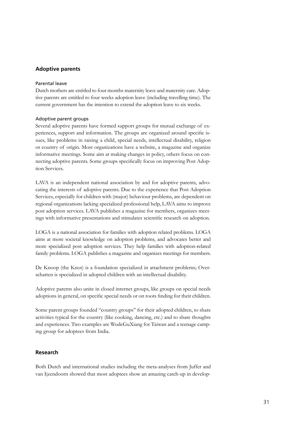#### **Adoptive parents**

#### Parental leave

Dutch mothers are entitled to four months maternity leave and maternity care. Adoptive parents are entitled to four weeks adoption leave (including travelling time). The current government has the intention to extend the adoption leave to six weeks.

#### Adoptive parent groups

Several adoptive parents have formed support groups for mutual exchange of experiences, support and information. The groups are organized around specific issues, like problems in raising a child, special needs, intellectual disability, religion or country of origin. Most organizations have a website, a magazine and organize informative meetings. Some aim at making changes in policy, others focus on connecting adoptive parents. Some groups specifically focus on improving Post Adoption Services.

LAVA is an independent national association by and for adoptive parents, advocating the interests of adoptive parents. Due to the experience that Post Adoption Services, especially for children with (major) behaviour problems, are dependent on regional organizations lacking specialized professional help, LAVA aims to improve post adoption services. LAVA publishes a magazine for members, organizes meetings with informative presentations and stimulates scientific research on adoption.

LOGA is a national association for families with adoption related problems. LOGA aims at more societal knowledge on adoption problems, and advocates better and more specialized post adoption services. They help families with adoption-related family problems. LOGA publishes a magazine and organizes meetings for members.

De Knoop (the Knot) is a foundation specialized in attachment problems; Overschatten is specialized in adopted children with an intellectual disability.

Adoptive parents also unite in closed internet groups, like groups on special needs adoptions in general, on specific special needs or on roots finding for their children.

Some parent groups founded "country groups" for their adopted children, to share activities typical for the country (like cooking, dancing, etc.) and to share thoughts and experiences. Two examples are WodeGuXiang for Taiwan and a teenage camping group for adoptees from India.

#### **Research**

Both Dutch and international studies including the meta-analyses from Juffer and van Ijzendoorn showed that most adoptees show an amazing catch-up in develop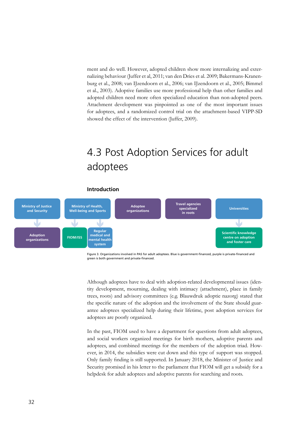<span id="page-31-0"></span>ment and do well. However, adopted children show more internalizing and externalizing behaviour (Juffer et al, 2011; van den Dries et al. 2009; Bakermans-Kranenburg et al., 2008; van IJzendoorn et al., 2006; van IJzendoorn et al., 2005; Bimmel et al., 2003). Adoptive families use more professional help than other families and adopted children need more often specialized education than non-adopted peers. Attachment development was pinpointed as one of the most important issues for adoptees, and a randomized control trial on the attachment-based VIPP-SD showed the effect of the intervention (Juffer, 2009).

### 4.3 Post Adoption Services for adult adoptees





Figure 3. Organizations involved in PAS for adult adoptees. Blue is government-financed, purple is private-financed and green is both government and private-financed.

Although adoptees have to deal with adoption-related developmental issues (identity development, mourning, dealing with intimacy (attachment), place in family trees, roots) and advisory committees (e.g. Blauwdruk adoptie nazorg) stated that the specific nature of the adoption and the involvement of the State should guarantee adoptees specialized help during their lifetime, post adoption services for adoptees are poorly organized.

In the past, FIOM used to have a department for questions from adult adoptees, and social workers organized meetings for birth mothers, adoptive parents and adoptees, and combined meetings for the members of the adoption triad. However, in 2014, the subsidies were cut down and this type of support was stopped. Only family finding is still supported. In January 2018, the Minister of Justice and Security promised in his letter to the parliament that FIOM will get a subsidy for a helpdesk for adult adoptees and adoptive parents for searching and roots.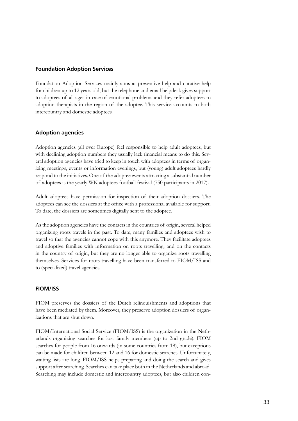#### **Foundation Adoption Services**

Foundation Adoption Services mainly aims at preventive help and curative help for children up to 12 years old, but the telephone and email helpdesk gives support to adoptees of all ages in case of emotional problems and they refer adoptees to adoption therapists in the region of the adoptee. This service accounts to both intercountry and domestic adoptees.

#### **Adoption agencies**

Adoption agencies (all over Europe) feel responsible to help adult adoptees, but with declining adoption numbers they usually lack financial means to do this. Several adoption agencies have tried to keep in touch with adoptees in terms of organizing meetings, events or information evenings, but (young) adult adoptees hardly respond to the initiatives. One of the adoptee events attracting a substantial number of adoptees is the yearly WK adoptees football festival (750 participants in 2017).

Adult adoptees have permission for inspection of their adoption dossiers. The adoptees can see the dossiers at the office with a professional available for support. To date, the dossiers are sometimes digitally sent to the adoptee.

As the adoption agencies have the contacts in the countries of origin, several helped organizing roots travels in the past. To date, many families and adoptees wish to travel so that the agencies cannot cope with this anymore. They facilitate adoptees and adoptive families with information on roots travelling, and on the contacts in the country of origin, but they are no longer able to organize roots travelling themselves. Services for roots travelling have been transferred to FIOM/ISS and to (specialized) travel agencies.

#### **FIOM/ISS**

FIOM preserves the dossiers of the Dutch relinquishments and adoptions that have been mediated by them. Moreover, they preserve adoption dossiers of organizations that are shut down.

FIOM/International Social Service (FIOM/ISS) is the organization in the Netherlands organizing searches for lost family members (up to 2nd grade). FIOM searches for people from 16 onwards (in some countries from 18), but exceptions can be made for children between 12 and 16 for domestic searches. Unfortunately, waiting lists are long. FIOM/ISS helps preparing and doing the search and gives support after searching. Searches can take place both in the Netherlands and abroad. Searching may include domestic and intercountry adoptees, but also children con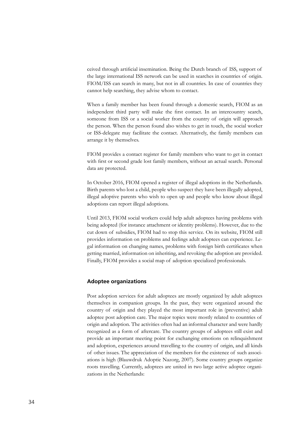ceived through artificial insemination. Being the Dutch branch of ISS, support of the large international ISS network can be used in searches in countries of origin. FIOM/ISS can search in many, but not in all countries. In case of countries they cannot help searching, they advise whom to contact.

When a family member has been found through a domestic search, FIOM as an independent third party will make the first contact. In an intercountry search, someone from ISS or a social worker from the country of origin will approach the person. When the person found also wishes to get in touch, the social worker or ISS-delegate may facilitate the contact. Alternatively, the family members can arrange it by themselves.

FIOM provides a contact register for family members who want to get in contact with first or second grade lost family members, without an actual search. Personal data are protected.

In October 2016, FIOM opened a register of illegal adoptions in the Netherlands. Birth parents who lost a child, people who suspect they have been illegally adopted, illegal adoptive parents who wish to open up and people who know about illegal adoptions can report illegal adoptions.

Until 2013, FIOM social workers could help adult adoptees having problems with being adopted (for instance attachment or identity problems). However, due to the cut down of subsidies, FIOM had to stop this service. On its website, FIOM still provides information on problems and feelings adult adoptees can experience. Legal information on changing names, problems with foreign birth certificates when getting married, information on inheriting, and revoking the adoption are provided. Finally, FIOM provides a social map of adoption specialized professionals.

#### **Adoptee organizations**

Post adoption services for adult adoptees are mostly organized by adult adoptees themselves in companion groups. In the past, they were organized around the country of origin and they played the most important role in (preventive) adult adoptee post adoption care. The major topics were mostly related to countries of origin and adoption. The activities often had an informal character and were hardly recognized as a form of aftercare. The country groups of adoptees still exist and provide an important meeting point for exchanging emotions on relinquishment and adoption, experiences around travelling to the country of origin, and all kinds of other issues. The appreciation of the members for the existence of such associations is high (Blauwdruk Adoptie Nazorg, 2007). Some country groups organize roots travelling. Currently, adoptees are united in two large active adoptee organizations in the Netherlands: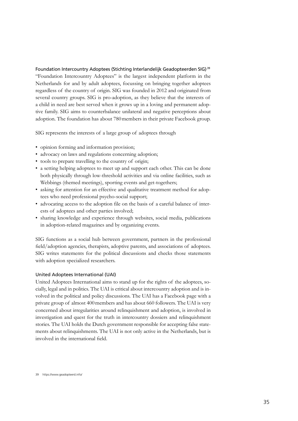Foundation Intercountry Adoptees (Stichting Interlandelijk Geadopteerden SIG) <sup>39</sup> "Foundation Intercountry Adoptees" is the largest independent platform in the Netherlands for and by adult adoptees, focussing on bringing together adoptees regardless of the country of origin. SIG was founded in 2012 and originated from several country groups. SIG is pro-adoption, as they believe that the interests of a child in need are best served when it grows up in a loving and permanent adoptive family. SIG aims to counterbalance unilateral and negative perceptions about adoption. The foundation has about 780members in their private Facebook group.

SIG represents the interests of a large group of adoptees through

- opinion forming and information provision;
- advocacy on laws and regulations concerning adoption;
- tools to prepare travelling to the country of origin;
- a setting helping adoptees to meet up and support each other. This can be done both physically through low-threshold activities and via online facilities, such as Webbings (themed meetings), sporting events and get-togethers;
- asking for attention for an effective and qualitative treatment method for adoptees who need professional psycho-social support;
- advocating access to the adoption file on the basis of a careful balance of interests of adoptees and other parties involved;
- sharing knowledge and experience through websites, social media, publications in adoption-related magazines and by organizing events.

SIG functions as a social hub between government, partners in the professional field/adoption agencies, therapists, adoptive parents, and associations of adoptees. SIG writes statements for the political discussions and checks those statements with adoption specialized researchers.

#### United Adoptees International (UAI)

United Adoptees International aims to stand up for the rights of the adoptees, socially, legal and in politics. The UAI is critical about intercountry adoption and is involved in the political and policy discussions. The UAI has a Facebook page with a private group of almost 400 members and has about 660 followers. The UAI is very concerned about irregularities around relinquishment and adoption, is involved in investigation and quest for the truth in intercountry dossiers and relinquishment stories. The UAI holds the Dutch government responsible for accepting false statements about relinquishments. The UAI is not only active in the Netherlands, but is involved in the international field.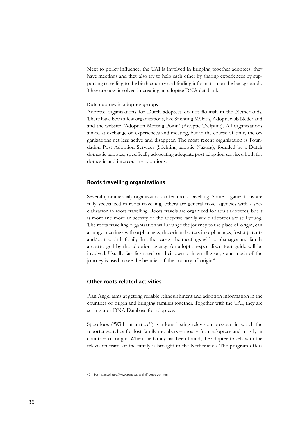Next to policy influence, the UAI is involved in bringing together adoptees, they have meetings and they also try to help each other by sharing experiences by supporting travelling to the birth country and finding information on the backgrounds. They are now involved in creating an adoptee DNA databank.

#### Dutch domestic adoptee groups

Adoptee organizations for Dutch adoptees do not flourish in the Netherlands. There have been a few organizations, like Stichting Möbius, Adoptieclub Nederland and the website "Adoption Meeting Point" (Adoptie Trefpunt). All organizations aimed at exchange of experiences and meeting, but in the course of time, the organizations get less active and disappear. The most recent organization is Foundation Post Adoption Services (Stichting adoptie Nazorg), founded by a Dutch domestic adoptee, specifically advocating adequate post adoption services, both for domestic and intercountry adoptions.

#### **Roots travelling organizations**

Several (commercial) organizations offer roots travelling. Some organizations are fully specialized in roots travelling, others are general travel agencies with a specialization in roots travelling. Roots travels are organized for adult adoptees, but it is more and more an activity of the adoptive family while adoptees are still young. The roots travelling organization will arrange the journey to the place of origin, can arrange meetings with orphanages, the original carers in orphanages, foster parents and/or the birth family. In other cases, the meetings with orphanages and family are arranged by the adoption agency. An adoption-specialized tour guide will be involved. Usually families travel on their own or in small groups and much of the journey is used to see the beauties of the country of origin<sup>40</sup>.

#### **Other roots-related activities**

Plan Angel aims at getting reliable relinquishment and adoption information in the countries of origin and bringing families together. Together with the UAI, they are setting up a DNA Database for adoptees.

Spoorloos ("Without a trace") is a long lasting television program in which the reporter searches for lost family members – mostly from adoptees and mostly in countries of origin. When the family has been found, the adoptee travels with the television team, or the family is brought to the Netherlands. The program offers

<sup>40</sup> For instance https://www.pangeatravel.nl/rootsreizen.html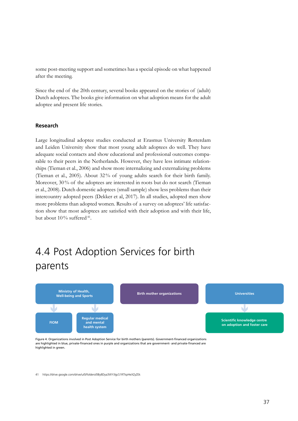<span id="page-36-0"></span>some post-meeting support and sometimes has a special episode on what happened after the meeting.

Since the end of the 20th century, several books appeared on the stories of (adult) Dutch adoptees. The books give information on what adoption means for the adult adoptee and present life stories.

#### **Research**

Large longitudinal adoptee studies conducted at Erasmus University Rotterdam and Leiden University show that most young adult adoptees do well. They have adequate social contacts and show educational and professional outcomes comparable to their peers in the Netherlands. However, they have less intimate relationships (Tieman et al., 2006) and show more internalizing and externalizing problems (Tieman et al., 2005). About 32% of young adults search for their birth family. Moreover, 30% of the adoptees are interested in roots but do not search (Tieman et al., 2008). Dutch domestic adoptees (small sample) show less problems than their intercountry adopted peers (Dekker et al, 2017). In all studies, adopted men show more problems than adopted women. Results of a survey on adoptees' life satisfaction show that most adoptees are satisfied with their adoption and with their life, but about  $10\%$  suffered<sup>41</sup>.

### 4.4 Post Adoption Services for birth parents



Figure 4. Organizations involved in Post Adoption Service for birth mothers (parents). Government-financed organizations are highlighted in blue, private-financed ones in purple and organizations that are government- and private-financed are highlighted in green.

41 https://drive.google.com/drive/u/0/folders/0By8Dya3WYJlgcS1RTkpHeXZyZEk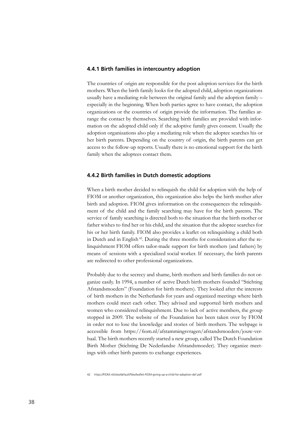#### **4.4.1 Birth families in intercountry adoption**

The countries of origin are responsible for the post adoption services for the birth mothers. When the birth family looks for the adopted child, adoption organizations usually have a mediating role between the original family and the adoption family – especially in the beginning. When both parties agree to have contact, the adoption organizations or the countries of origin provide the information. The families arrange the contact by themselves. Searching birth families are provided with information on the adopted child only if the adoptive family gives consent. Usually the adoption organizations also play a mediating role when the adoptee searches his or her birth parents. Depending on the country of origin, the birth parents can get access to the follow-up reports. Usually there is no emotional support for the birth family when the adoptees contact them.

#### **4.4.2 Birth families in Dutch domestic adoptions**

When a birth mother decided to relinquish the child for adoption with the help of FIOM or another organization, this organization also helps the birth mother after birth and adoption. FIOM gives information on the consequences the relinquishment of the child and the family searching may have for the birth parents. The service of family searching is directed both to the situation that the birth mother or father wishes to find her or his child, and the situation that the adoptee searches for his or her birth family. FIOM also provides a leaflet on relinquishing a child both in Dutch and in English<sup>42</sup>. During the three months for consideration after the relinquishment FIOM offers tailor-made support for birth mothers (and fathers) by means of sessions with a specialized social worker. If necessary, the birth parents are redirected to other professional organizations.

Probably due to the secrecy and shame, birth mothers and birth families do not organize easily. In 1994, a number of active Dutch birth mothers founded "Stichting Afstandsmoeders" (Foundation for birth mothers). They looked after the interests of birth mothers in the Netherlands for years and organized meetings where birth mothers could meet each other. They advised and supported birth mothers and women who considered relinquishment. Due to lack of active members, the group stopped in 2009. The website of the Foundation has been taken over by FIOM in order not to lose the knowledge and stories of birth mothers. The webpage is accessible from https://fiom.nl/afstammingsvragen/afstandsmoeders/jouw-verhaal. The birth mothers recently started a new group, called The Dutch Foundation Birth Mother (Stichting De Nederlandse Afstandsmoeder). They organize meetings with other birth parents to exchange experiences.

42 https://FIOM.nl/sites/default/files/leaflet-FIOM-giving-up-a-child-for-adoption-def.pdf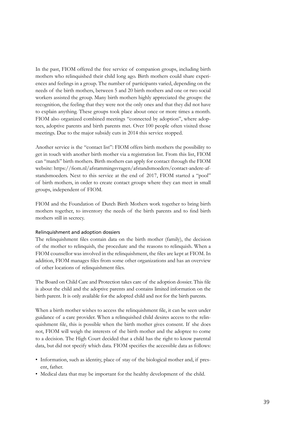In the past, FIOM offered the free service of companion groups, including birth mothers who relinquished their child long ago. Birth mothers could share experiences and feelings in a group. The number of participants varied, depending on the needs of the birth mothers, between 5 and 20 birth mothers and one or two social workers assisted the group. Many birth mothers highly appreciated the groups: the recognition, the feeling that they were not the only ones and that they did not have to explain anything. These groups took place about once or more times a month. FIOM also organized combined meetings "connected by adoption", where adoptees, adoptive parents and birth parents met. Over 100 people often visited those meetings. Due to the major subsidy cuts in 2014 this service stopped.

Another service is the "contact list": FIOM offers birth mothers the possibility to get in touch with another birth mother via a registration list. From this list, FIOM can "match" birth mothers. Birth mothers can apply for contact through the FIOM website: https://fiom.nl/afstammingsvragen/afstandsmoeders/contact-andere-afstandsmoeders. Next to this service at the end of 2017, FIOM started a "pool" of birth mothers, in order to create contact groups where they can meet in small groups, independent of FIOM.

FIOM and the Foundation of Dutch Birth Mothers work together to bring birth mothers together, to inventory the needs of the birth parents and to find birth mothers still in secrecy.

#### Relinquishment and adoption dossiers

The relinquishment files contain data on the birth mother (family), the decision of the mother to relinquish, the procedure and the reasons to relinquish. When a FIOM counsellor was involved in the relinquishment, the files are kept at FIOM. In addition, FIOM manages files from some other organizations and has an overview of other locations of relinquishment files.

The Board on Child Care and Protection takes care of the adoption dossier. This file is about the child and the adoptive parents and contains limited information on the birth parent. It is only available for the adopted child and not for the birth parents.

When a birth mother wishes to access the relinquishment file, it can be seen under guidance of a care provider. When a relinquished child desires access to the relinquishment file, this is possible when the birth mother gives consent. If she does not, FIOM will weigh the interests of the birth mother and the adoptee to come to a decision. The High Court decided that a child has the right to know parental data, but did not specify which data. FIOM specifies the accessible data as follows:

- Information, such as identity, place of stay of the biological mother and, if present, father.
- Medical data that may be important for the healthy development of the child.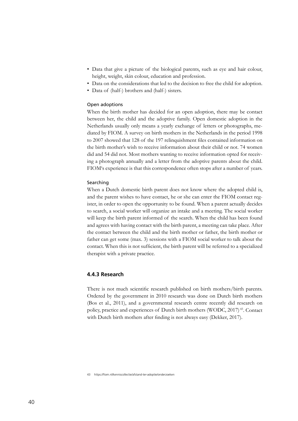- Data that give a picture of the biological parents, such as eye and hair colour, height, weight, skin colour, education and profession.
- Data on the considerations that led to the decision to free the child for adoption.
- Data of (half-) brothers and (half-) sisters.

#### Open adoptions

When the birth mother has decided for an open adoption, there may be contact between her, the child and the adoptive family. Open domestic adoption in the Netherlands usually only means a yearly exchange of letters or photographs, mediated by FIOM. A survey on birth mothers in the Netherlands in the period 1998 to 2007 showed that 128 of the 197 relinquishment files contained information on the birth mother's wish to receive information about their child or not. 74 women did and 54 did not. Most mothers wanting to receive information opted for receiving a photograph annually and a letter from the adoptive parents about the child. FIOM's experience is that this correspondence often stops after a number of years.

#### Searching

When a Dutch domestic birth parent does not know where the adopted child is, and the parent wishes to have contact, he or she can enter the FIOM contact register, in order to open the opportunity to be found. When a parent actually decides to search, a social worker will organize an intake and a meeting. The social worker will keep the birth parent informed of the search. When the child has been found and agrees with having contact with the birth parent, a meeting can take place. After the contact between the child and the birth mother or father, the birth mother or father can get some (max. 3) sessions with a FIOM social worker to talk about the contact. When this is not sufficient, the birth parent will be referred to a specialized therapist with a private practice.

#### **4.4.3 Research**

There is not much scientific research published on birth mothers/birth parents. Ordered by the government in 2010 research was done on Dutch birth mothers (Bos et al., 2011), and a governmental research centre recently did research on policy, practice and experiences of Dutch birth mothers (WODC, 2017) 43. Contact with Dutch birth mothers after finding is not always easy (Dekker, 2017).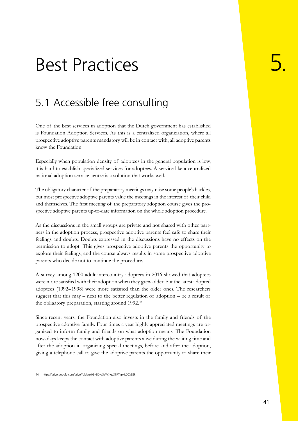## <span id="page-40-0"></span>Best Practices

### 5.1 Accessible free consulting

One of the best services in adoption that the Dutch government has established is Foundation Adoption Services. As this is a centralized organization, where all prospective adoptive parents mandatory will be in contact with, all adoptive parents know the Foundation.

Especially when population density of adoptees in the general population is low, it is hard to establish specialized services for adoptees. A service like a centralized national adoption service centre is a solution that works well.

The obligatory character of the preparatory meetings may raise some people's hackles, but most prospective adoptive parents value the meetings in the interest of their child and themselves. The first meeting of the preparatory adoption course gives the prospective adoptive parents up-to-date information on the whole adoption procedure.

As the discussions in the small groups are private and not shared with other partners in the adoption process, prospective adoptive parents feel safe to share their feelings and doubts. Doubts expressed in the discussions have no effects on the permission to adopt. This gives prospective adoptive parents the opportunity to explore their feelings, and the course always results in some prospective adoptive parents who decide not to continue the procedure.

A survey among 1200 adult intercountry adoptees in 2016 showed that adoptees were more satisfied with their adoption when they grew older, but the latest adopted adoptees (1992–1998) were more satisfied than the older ones. The researchers suggest that this may – next to the better regulation of adoption – be a result of the obligatory preparation, starting around 1992.<sup>44</sup>

Since recent years, the Foundation also invests in the family and friends of the prospective adoptive family. Four times a year highly appreciated meetings are organized to inform family and friends on what adoption means. The Foundation nowadays keeps the contact with adoptive parents alive during the waiting time and after the adoption in organizing special meetings, before and after the adoption, giving a telephone call to give the adoptive parents the opportunity to share their

44 https://drive.google.com/drive/folders/0By8Dya3WYJlgcS1RTkpHeXZyZEk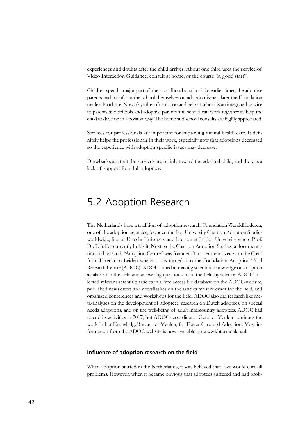<span id="page-41-0"></span>experiences and doubts after the child arrives. About one third uses the service of Video Interaction Guidance, consult at home, or the course "A good start".

Children spend a major part of their childhood at school. In earlier times, the adoptive parents had to inform the school themselves on adoption issues, later the Foundation made a brochure. Nowadays the information and help at school is an integrated service to parents and schools and adoptive parents and school can work together to help the child to develop in a positive way. The home and school consults are highly appreciated.

Services for professionals are important for improving mental health care. It definitely helps the professionals in their work, especially now that adoptions decreased so the experience with adoption specific issues may decrease.

Drawbacks are that the services are mainly toward the adopted child, and there is a lack of support for adult adoptees.

### 5.2 Adoption Research

The Netherlands have a tradition of adoption research. Foundation Wereldkinderen, one of the adoption agencies, founded the first University Chair on Adoption Studies worldwide, first at Utrecht University and later on at Leiden University where Prof. Dr. F. Juffer currently holds it. Next to the Chair on Adoption Studies, a documentation and research "Adoption Centre" was founded. This centre moved with the Chair from Utrecht to Leiden where it was turned into the Foundation Adoption Triad Research Centre (ADOC). ADOC aimed at making scientific knowledge on adoption available for the field and answering questions from the field by science. ADOC collected relevant scientific articles in a free accessible database on the ADOC-website, published newsletters and newsflashes on the articles most relevant for the field, and organized conferences and workshops for the field. ADOC also did research like meta-analyses on the development of adoptees, research on Dutch adoptees, on special needs adoptions, and on the well-being of adult intercountry adoptees. ADOC had to end its activities in 2017, but ADOCs coordinator Gera ter Meulen continues the work in her KnowledgeBureau ter Meulen, for Foster Care and Adoption. Most information from the ADOC website is now available on www.kbtermeulen.nl.

#### **Influence of adoption research on the field**

When adoption started in the Netherlands, it was believed that love would cure all problems. However, when it became obvious that adoptees suffered and had prob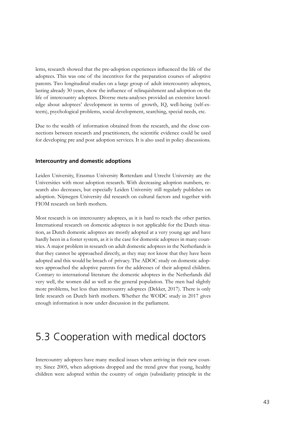<span id="page-42-0"></span>lems, research showed that the pre-adoption experiences influenced the life of the adoptees. This was one of the incentives for the preparation courses of adoptive parents. Two longitudinal studies on a large group of adult intercountry adoptees, lasting already 30 years, show the influence of relinquishment and adoption on the life of intercountry adoptees. Diverse meta-analyses provided an extensive knowledge about adoptees' development in terms of growth, IQ, well-being (self-esteem), psychological problems, social development, searching, special needs, etc.

Due to the wealth of information obtained from the research, and the close connections between research and practitioners, the scientific evidence could be used for developing pre and post adoption services. It is also used in policy discussions.

#### **Intercountry and domestic adoptions**

Leiden University, Erasmus University Rotterdam and Utrecht University are the Universities with most adoption research. With decreasing adoption numbers, research also decreases, but especially Leiden University still regularly publishes on adoption. Nijmegen University did research on cultural factors and together with FIOM research on birth mothers.

Most research is on intercountry adoptees, as it is hard to reach the other parties. International research on domestic adoptees is not applicable for the Dutch situation, as Dutch domestic adoptees are mostly adopted at a very young age and have hardly been in a foster system, as it is the case for domestic adoptees in many countries. A major problem in research on adult domestic adoptees in the Netherlands is that they cannot be approached directly, as they may not know that they have been adopted and this would be breach of privacy. The ADOC study on domestic adoptees approached the adoptive parents for the addresses of their adopted children. Contrary to international literature the domestic adoptees in the Netherlands did very well, the women did as well as the general population. The men had slightly more problems, but less than intercountry adoptees (Dekker, 2017). There is only little research on Dutch birth mothers. Whether the WODC study in 2017 gives enough information is now under discussion in the parliament.

### 5.3 Cooperation with medical doctors

Intercountry adoptees have many medical issues when arriving in their new country. Since 2005, when adoptions dropped and the trend grew that young, healthy children were adopted within the country of origin (subsidiarity principle in the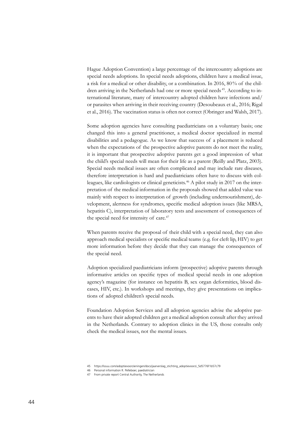Hague Adoption Convention) a large percentage of the intercountry adoptions are special needs adoptions. In special needs adoptions, children have a medical issue, a risk for a medical or other disability, or a combination. In 2016, 80% of the children arriving in the Netherlands had one or more special needs <sup>45</sup>. According to international literature, many of intercountry adopted children have infections and/ or parasites when arriving in their receiving country (Desoubeaux et al., 2016; Rigal et al., 2016). The vaccination status is often not correct (Obringer and Walsh, 2017).

Some adoption agencies have consulting paediatricians on a voluntary basis; one changed this into a general practitioner, a medical doctor specialized in mental disabilities and a pedagogue. As we know that success of a placement is reduced when the expectations of the prospective adoptive parents do not meet the reality, it is important that prospective adoptive parents get a good impression of what the child's special needs will mean for their life as a parent (Reilly and Platz, 2003). Special needs medical issues are often complicated and may include rare diseases, therefore interpretation is hard and paediatricians often have to discuss with colleagues, like cardiologists or clinical geneticists.<sup>46</sup> A pilot study in 2017 on the interpretation of the medical information in the proposals showed that added value was mainly with respect to interpretation of growth (including undernourishment), development, alertness for syndromes, specific medical adoption issues (like MRSA, hepatitis C), interpretation of laboratory tests and assessment of consequences of the special need for intensity of care.<sup>47</sup>

When parents receive the proposal of their child with a special need, they can also approach medical specialists or specific medical teams (e.g. for cleft lip, HIV) to get more information before they decide that they can manage the consequences of the special need.

Adoption specialized paediatricians inform (prospective) adoptive parents through informative articles on specific types of medical special needs in one adoption agency's magazine (for instance on hepatitis B, sex organ deformities, blood diseases, HIV, etc.). In workshops and meetings, they give presentations on implications of adopted children's special needs.

Foundation Adoption Services and all adoption agencies advise the adoptive parents to have their adopted children get a medical adoption consult after they arrived in the Netherlands. Contrary to adoption clinics in the US, those consults only check the medical issues, not the mental issues.

47 From private report Central Authority, The Netherlands

<sup>45</sup> https://issuu.com/adoptievoorzieningen/docs/jaarverslag\_stichting\_adoptievoorzi\_5d5776f1b57c79

<sup>46</sup> Personal information R. Pelleboer, paediatrician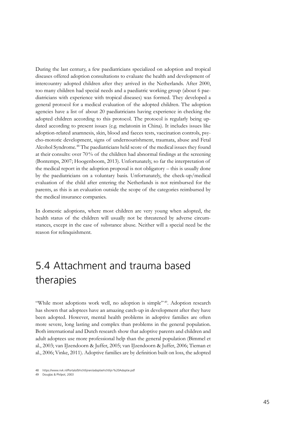<span id="page-44-0"></span>During the last century, a few paediatricians specialized on adoption and tropical diseases offered adoption consultations to evaluate the health and development of intercountry adopted children after they arrived in the Netherlands. After 2000, too many children had special needs and a paediatric working group (about 6 paediatricians with experience with tropical diseases) was formed. They developed a general protocol for a medical evaluation of the adopted children. The adoption agencies have a list of about 20 paediatricians having experience in checking the adopted children according to this protocol. The protocol is regularly being updated according to present issues (e.g. melatonin in China). It includes issues like adoption-related anamnesis, skin, blood and faeces tests, vaccination controls, psycho-motoric development, signs of undernourishment, traumata, abuse and Fetal Alcohol Syndrome.48 The paediatricians held score of the medical issues they found at their consults: over 70% of the children had abnormal findings at the screening (Bontemps, 2007; Hoogenboom, 2013). Unfortunately, so far the interpretation of the medical report in the adoption proposal is not obligatory – this is usually done by the paediatricians on a voluntary basis. Unfortunately, the check-up/medical evaluation of the child after entering the Netherlands is not reimbursed for the parents, as this is an evaluation outside the scope of the categories reimbursed by the medical insurance companies.

In domestic adoptions, where most children are very young when adopted, the health status of the children will usually not be threatened by adverse circumstances, except in the case of substance abuse. Neither will a special need be the reason for relinquishment.

### 5.4 Attachment and trauma based therapies

"While most adoptions work well, no adoption is simple"<sup>49</sup>. Adoption research has shown that adoptees have an amazing catch-up in development after they have been adopted. However, mental health problems in adoptive families are often more severe, long lasting and complex than problems in the general population. Both international and Dutch research show that adoptive parents and children and adult adoptees use more professional help than the general population (Bimmel et al., 2003; van IJzendoorn & Juffer, 2005; van IJzendoorn & Juffer, 2006; Tieman et al., 2006; Vinke, 2011). Adoptive families are by definition built on loss, the adopted

<sup>48</sup> https://www.nvk.nl/Portals/0/richtlijnen/adoptie/richtlijn%20Adoptie.pdf

<sup>49</sup> Douglas & Philpot, 2003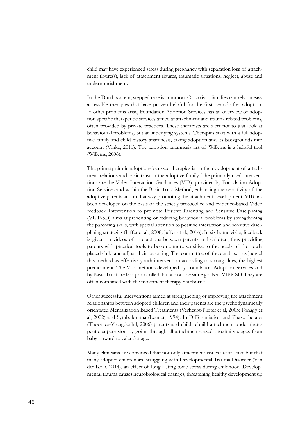child may have experienced stress during pregnancy with separation loss of attachment figure(s), lack of attachment figures, traumatic situations, neglect, abuse and undernourishment.

In the Dutch system, stepped care is common. On arrival, families can rely on easy accessible therapies that have proven helpful for the first period after adoption. If other problems arise, Foundation Adoption Services has an overview of adoption specific therapeutic services aimed at attachment and trauma related problems, often provided by private practices. These therapists are alert not to just look at behavioural problems, but at underlying systems. Therapies start with a full adoptive family and child history anamnesis, taking adoption and its backgrounds into account (Vinke, 2011). The adoption anamnesis list of Willems is a helpful tool (Willems, 2006).

The primary aim in adoption-focussed therapies is on the development of attachment relations and basic trust in the adoptive family. The primarily used interventions are the Video Interaction Guidances (VIB), provided by Foundation Adoption Services and within the Basic Trust Method, enhancing the sensitivity of the adoptive parents and in that way promoting the attachment development. VIB has been developed on the basis of the strictly protocolled and evidence-based Video feedback Intervention to promote Positive Parenting and Sensitive Disciplining (VIPP-SD) aims at preventing or reducing behavioural problems by strengthening the parenting skills, with special attention to positive interaction and sensitive disciplining strategies (Juffer et al., 2008; Juffer et al., 2016). In six home visits, feedback is given on videos of interactions between parents and children, thus providing parents with practical tools to become more sensitive to the needs of the newly placed child and adjust their parenting. The committee of the database has judged this method as effective youth intervention according to strong clues, the highest predicament. The VIB-methods developed by Foundation Adoption Services and by Basic Trust are less protocolled, but aim at the same goals as VIPP-SD. They are often combined with the movement therapy Sherborne.

Other successful interventions aimed at strengthening or improving the attachment relationships between adopted children and their parents are the psychodynamically orientated Mentalization Based Treatments (Verheugt-Pleiter et al, 2005; Fonagy et al, 2002) and Symboldrama (Leuner, 1994). In Differentiation and Phase therapy (Thoomes-Vreugdenhil, 2006) parents and child rebuild attachment under therapeutic supervision by going through all attachment-based proximity stages from baby onward to calendar age.

Many clinicians are convinced that not only attachment issues are at stake but that many adopted children are struggling with Developmental Trauma Disorder (Van der Kolk, 2014), an effect of long-lasting toxic stress during childhood. Developmental trauma causes neurobiological changes, threatening healthy development up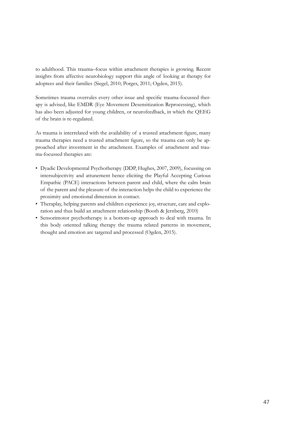to adulthood. This trauma–focus within attachment therapies is growing. Recent insights from affective neurobiology support this angle of looking at therapy for adoptees and their families (Siegel, 2010; Porges, 2011; Ogden, 2015).

Sometimes trauma overrules every other issue and specific trauma-focussed therapy is advised, like EMDR (Eye Movement Desensitization Reprocessing), which has also been adjusted for young children, or neurofeedback, in which the QEEG of the brain is re-regulated.

As trauma is interrelated with the availability of a trusted attachment figure, many trauma therapies need a trusted attachment figure, so the trauma can only be approached after investment in the attachment. Examples of attachment and trauma-focussed therapies are:

- Dyadic Developmental Psychotherapy (DDP, Hughes, 2007, 2009), focussing on intersubjectivity and attunement hence eliciting the Playful Accepting Curious Empathic (PACE) interactions between parent and child, where the calm brain of the parent and the pleasure of the interaction helps the child to experience the proximity and emotional dimension in contact.
- Theraplay, helping parents and children experience joy, structure, care and exploration and thus build an attachment relationship (Booth & Jernberg, 2010)
- Sensorimotor psychotherapy is a bottom-up approach to deal with trauma. In this body oriented talking therapy the trauma related patterns in movement, thought and emotion are targeted and processed (Ogden, 2015).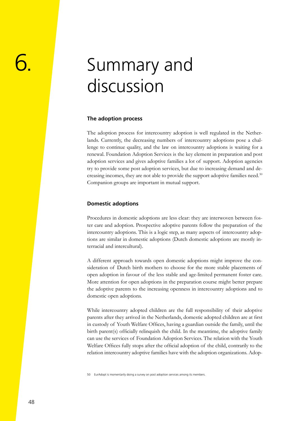## <span id="page-47-0"></span>Summary and discussion

#### **The adoption process**

The adoption process for intercountry adoption is well regulated in the Netherlands. Currently, the decreasing numbers of intercountry adoptions pose a challenge to continue quality, and the law on intercountry adoptions is waiting for a renewal. Foundation Adoption Services is the key element in preparation and post adoption services and gives adoptive families a lot of support. Adoption agencies try to provide some post adoption services, but due to increasing demand and decreasing incomes, they are not able to provide the support adoptive families need.50 Companion groups are important in mutual support.

#### **Domestic adoptions**

Procedures in domestic adoptions are less clear: they are interwoven between foster care and adoption. Prospective adoptive parents follow the preparation of the intercountry adoptions. This is a logic step, as many aspects of intercountry adoptions are similar in domestic adoptions (Dutch domestic adoptions are mostly interracial and intercultural).

A different approach towards open domestic adoptions might improve the consideration of Dutch birth mothers to choose for the more stable placements of open adoption in favour of the less stable and age-limited permanent foster care. More attention for open adoptions in the preparation course might better prepare the adoptive parents to the increasing openness in intercountry adoptions and to domestic open adoptions.

While intercountry adopted children are the full responsibility of their adoptive parents after they arrived in the Netherlands, domestic adopted children are at first in custody of Youth Welfare Offices, having a guardian outside the family, until the birth parent(s) officially relinquish the child. In the meantime, the adoptive family can use the services of Foundation Adoption Services. The relation with the Youth Welfare Offices fully stops after the official adoption of the child, contrarily to the relation intercountry adoptive families have with the adoption organizations. Adop-

50 EurAdopt is momentarily doing a survey on post adoption services among its members.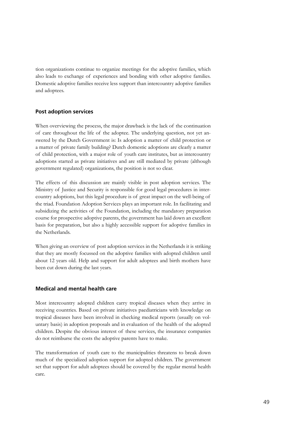tion organizations continue to organize meetings for the adoptive families, which also leads to exchange of experiences and bonding with other adoptive families. Domestic adoptive families receive less support than intercountry adoptive families and adoptees.

#### **Post adoption services**

When overviewing the process, the major drawback is the lack of the continuation of care throughout the life of the adoptee. The underlying question, not yet answered by the Dutch Government is: Is adoption a matter of child protection or a matter of private family building? Dutch domestic adoptions are clearly a matter of child protection, with a major role of youth care institutes, but as intercountry adoptions started as private initiatives and are still mediated by private (although government regulated) organizations, the position is not so clear.

The effects of this discussion are mainly visible in post adoption services. The Ministry of Justice and Security is responsible for good legal procedures in intercountry adoptions, but this legal procedure is of great impact on the well-being of the triad. Foundation Adoption Services plays an important role. In facilitating and subsidizing the activities of the Foundation, including the mandatory preparation course for prospective adoptive parents, the government has laid down an excellent basis for preparation, but also a highly accessible support for adoptive families in the Netherlands.

When giving an overview of post adoption services in the Netherlands it is striking that they are mostly focussed on the adoptive families with adopted children until about 12 years old. Help and support for adult adoptees and birth mothers have been cut down during the last years.

#### **Medical and mental health care**

Most intercountry adopted children carry tropical diseases when they arrive in receiving countries. Based on private initiatives paediatricians with knowledge on tropical diseases have been involved in checking medical reports (usually on voluntary basis) in adoption proposals and in evaluation of the health of the adopted children. Despite the obvious interest of these services, the insurance companies do not reimburse the costs the adoptive parents have to make.

The transformation of youth care to the municipalities threatens to break down much of the specialized adoption support for adopted children. The government set that support for adult adoptees should be covered by the regular mental health care.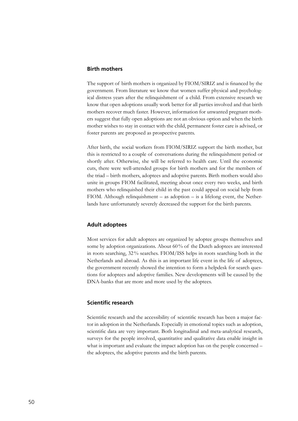#### **Birth mothers**

The support of birth mothers is organized by FIOM/SIRIZ and is financed by the government. From literature we know that women suffer physical and psychological distress years after the relinquishment of a child. From extensive research we know that open adoptions usually work better for all parties involved and that birth mothers recover much faster. However, information for unwanted pregnant mothers suggest that fully open adoptions are not an obvious option and when the birth mother wishes to stay in contact with the child, permanent foster care is advised, or foster parents are proposed as prospective parents.

After birth, the social workers from FIOM/SIRIZ support the birth mother, but this is restricted to a couple of conversations during the relinquishment period or shortly after. Otherwise, she will be referred to health care. Until the economic cuts, there were well-attended groups for birth mothers and for the members of the triad – birth mothers, adoptees and adoptive parents. Birth mothers would also unite in groups FIOM facilitated, meeting about once every two weeks, and birth mothers who relinquished their child in the past could appeal on social help from FIOM. Although relinquishment – as adoption – is a lifelong event, the Netherlands have unfortunately severely decreased the support for the birth parents.

#### **Adult adoptees**

Most services for adult adoptees are organized by adoptee groups themselves and some by adoption organizations. About 60% of the Dutch adoptees are interested in roots searching, 32% searches. FIOM/ISS helps in roots searching both in the Netherlands and abroad. As this is an important life event in the life of adoptees, the government recently showed the intention to form a helpdesk for search questions for adoptees and adoptive families. New developments will be caused by the DNA-banks that are more and more used by the adoptees.

#### **Scientific research**

Scientific research and the accessibility of scientific research has been a major factor in adoption in the Netherlands. Especially in emotional topics such as adoption, scientific data are very important. Both longitudinal and meta-analytical research, surveys for the people involved, quantitative and qualitative data enable insight in what is important and evaluate the impact adoption has on the people concerned – the adoptees, the adoptive parents and the birth parents.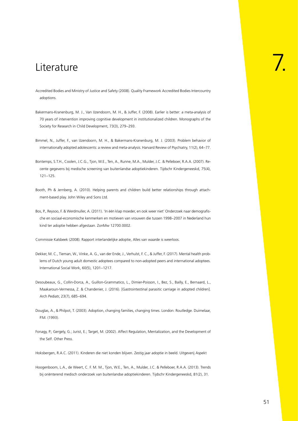### <span id="page-50-0"></span>Literature

- Accredited Bodies and Ministry of Justice and Safety (2008). Quality Framework Accredited Bodies Intercountry adoptions.
- Bakermans-Kranenburg, M. J., Van IJzendoorn, M. H., & Juffer, F. (2008). Earlier is better: a meta-analysis of 70 years of intervention improving cognitive development in institutionalized children. Monographs of the Society for Research in Child Development, 73(3), 279–293.
- Bimmel, N., Juffer, F., van IJzendoorn, M. H., & Bakermans-Kranenburg, M. J. (2003). Problem behavior of internationally adopted adolescents: a review and meta-analysis. Harvard Review of Psychiatry, 11(2), 64–77.
- Bontemps, S.T.H., Coolen, J.C.G., Tjon, W.E., Ten, A., Runne, M.A., Mulder, J.C. & Pelleboer, R.A.A. (2007). Recente gegevens bij medische screening van buitenlandse adoptiekinderen. Tijdschr Kindergeneeskd, 75(4), 121–125.
- Booth, Ph & Jernberg, A. (2010). Helping parents and children build better relationships through attachment-based play. John Wiley and Sons Ltd.
- Bos, P., Reysoo, F. & Werdmuller, A. (2011). 'In één klap moeder, en ook weer niet' Onderzoek naar demografische en sociaal-economische kenmerken en motieven van vrouwen die tussen 1998–2007 in Nederland hun kind ter adoptie hebben afgestaan. ZonMw 12700.0002.

Commissie Kalsbeek (2008). Rapport interlandelijke adoptie, Alles van waarde is weerloos.

- Dekker, M. C., Tieman, W., Vinke, A. G., van der Ende, J., Verhulst, F. C., & Juffer, F. (2017). Mental health problems of Dutch young adult domestic adoptees compared to non-adopted peers and international adoptees. International Social Work, 60(5), 1201–1217.
- Desoubeaux, G., Collin-Dorca, A., Guillon-Grammatico, L., Dimier-Poisson, I., Bez, S., Bailly, E., Bernaard, L., Maakaroun-Vermessa, Z. & Chandenier, J. (2016). [Gastrointestinal parasitic carriage in adopted children]. Arch Pediatr, 23(7), 685–694.
- Douglas, A., & Philpot, T. (2003). Adoption, changing families, changing times. London: Routledge. Duimelaar, P.M. (1993).
- Fonagy, P.; Gergely, G.; Jurist, E.; Target, M. (2002). Affect Regulation, Mentalization, and the Development of the Self. Other Press.

Hoksbergen, R.A.C. (2011). Kinderen die niet konden blijven. Zestig jaar adoptie in beeld. Uitgeverij Aspekt

Hoogenboom, L.A., de Weert, C. F. M. M., Tjon, W.E., Ten, A., Mulder, J.C. & Pelleboer, R.A.A. (2013). Trends bij oriënterend medisch onderzoek van buitenlandse adoptiekinderen. Tijdschr Kindergeneeskd, 81(2), 31.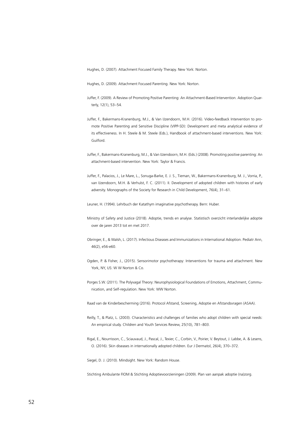Hughes, D. (2007). Attachment Focused Family Therapy. New York: Norton.

Hughes, D. (2009). Attachment Focused Parenting. New York: Norton.

- Juffer, F. (2009). A Review of Promoting Positive Parenting: An Attachment-Based Intervention. Adoption Quarterly, 12(1), 53–54.
- Juffer, F., Bakermans-Kranenburg, M.J., & Van IJzendoorn, M.H. (2016). Video-feedback Intervention to promote Positive Parenting and Sensitive Discipline (VIPP-SD): Development and meta analytical evidence of its effectiveness. In H. Steele & M. Steele (Eds.), Handbook of attachment-based interventions. New York: Guilford.
- Juffer, F., Bakermans-Kranenburg, M.J., & Van IJzendoorn, M.H. (Eds.) (2008). Promoting positive parenting: An attachment-based intervention. New York: Taylor & Francis.
- Juffer, F., Palacios, J., Le Mare, L., Sonuga-Barke, E. J. S., Tieman, W., Bakermans-Kranenburg, M. J., Vorria, P., van IJzendoorn, M.H. & Verhulst, F. C. (2011). II. Development of adopted children with histories of early adversity. Monographs of the Society for Research in Child Development, 76(4), 31–61.

Leuner, H. (1994). Lehrbuch der Katathym imaginative psychotherapy. Bern: Huber.

- Ministry of Safety and Justice (2018). Adoptie, trends en analyse. Statistisch overzicht interlandelijke adoptie over de jaren 2013 tot en met 2017.
- Obringer, E., & Walsh, L. (2017). Infectious Diseases and Immunizations in International Adoption. Pediatr Ann, 46(2), e56-e60.
- Ogden, P. & Fisher, J., (2015). Sensorimotor psychotherapy: Interventions for trauma and attachment. New York, NY, US: W W Norton & Co.
- Porges S.W. (2011). The Polyvagal Theory: Neurophysiological Foundations of Emotions, Attachment, Communication, and Self-regulation. New York: WW Norton.
- Raad van de Kinderbescherming (2016). Protocol Afstand, Screening, Adoptie en Afstandsvragen (ASAA).
- Reilly, T., & Platz, L. (2003). Characteristics and challenges of families who adopt children with special needs: An empirical study. Children and Youth Services Review, 25(10), 781–803.
- Rigal, E., Nourrisson, C., Sciauvaud, J., Pascal, J., Texier, C., Corbin, V., Poirier, V. Beytout, J. Labbe, A. & Lesens, O. (2016). Skin diseases in internationally adopted children. Eur J Dermatol, 26(4), 370–372.

Siegel, D. J. (2010). Mindsight. New York: Random House.

Stichting Ambulante FIOM & Stichting Adoptievoorzieningen (2009). Plan van aanpak adoptie (na)zorg.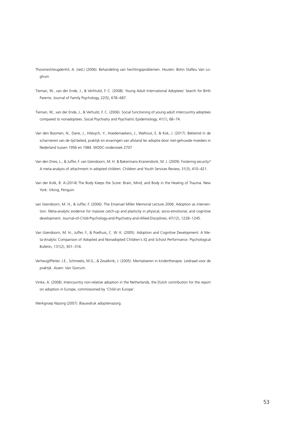- ThoomesVreugdenhil, A. (red.) (2006). Behandeling van hechtingsproblemen. Houten: Bohn Stafleu Van Loghum
- Tieman, W., van der Ende, J., & Verhtulst, F. C. (2008). Young Adult International Adoptees' Search for Birth Parents. Journal of Family Psychology, 22(5), 678–687.
- Tieman, W., van der Ende, J., & Verhulst, F. C. (2006). Social functioning of young adult intercountry adoptees compared to nonadoptees. Social Psychiatry and Psychiatric Epidemiology, 41(1), 68–74.
- Van den Boomen, N., Dane, J., Hilevych, Y., Hoedemaekers, J., Walhout, E. & Kok, J. (2017). Beklemd in de scharnieren van de tijd beleid, praktijk en ervaringen van afstand ter adoptie door niet-gehuwde moeders in Nederland tussen 1956 en 1984. WODC-onderzoek 2707
- Van den Dries, L., & Juffer, F. van IJzendoorn, M. H. & Bakermans-Kranendonk, M. J. (2009). Fostering security? A meta-analysis of attachment in adopted children. Children and Youth Services Review, 31(3), 410–421.
- Van der Kolk, B. A.(2014) The Body Keeps the Score: Brain, Mind, and Body in the Healing of Trauma. New York: Viking, Penguin.
- van IJzendoorn, M. H., & Juffer, F. (2006). The Emanuel Miller Memorial Lecture 2006: Adoption as intervention. Meta-analytic evidence for massive catch-up and plasticity in physical, socio-emotional, and cognitive development. Journal-of-Child-Psychology-and-Psychiatry-and-Allied-Disciplines, 47(12), 1228–1245.
- Van IJzendoorn, M. H., Juffer, F., & Poelhuis, C. W. K. (2005). Adoption and Cognitive Development: A Meta-Analytic Comparison of Adopted and Nonadopted Children's IQ and School Performance. Psychological Bulletin, 131(2), 301–316.
- VerheugtPleiter, J.E., Schmeets, M.G., & Zevalkink, J. (2005). Mentaliseren in kindertherapie. Leidraad voor de praktijk. Assen: Van Gorcum.
- Vinke, A. (2008). Intercountry non-relative adoption in the Netherlands, the Dutch contribution for the report on adoption in Europe, commissioned by 'Child on Europe'.

Werkgroep Nazorg (2007). Blauwdruk adoptienazorg.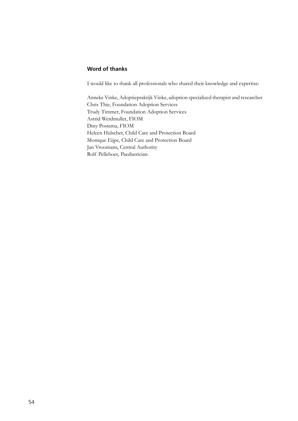#### **Word of thanks**

I would like to thank all professionals who shared their knowledge and expertise:

Anneke Vinke, Adoptiepraktijk Vinke, adoption specialized therapist and researcher Chris Thie, Foundation Adoption Services Trudy Timmer, Foundation Adoption Services Astrid Werdmuller, FIOM Diny Postema, FIOM Heleen Hulscher, Child Care and Protection Board Monique Eijpe, Child Care and Protection Board Jan Vroomans, Central Authority Rolf Pelleboer, Paediatrician